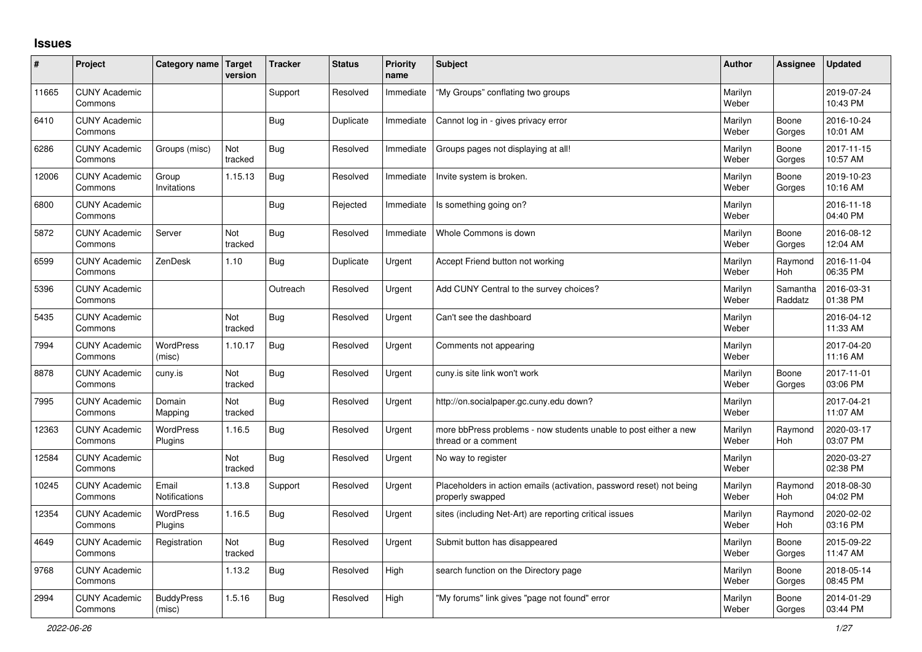## **Issues**

| #     | Project                         | Category name                 | <b>Target</b><br>version | <b>Tracker</b> | <b>Status</b> | <b>Priority</b><br>name | <b>Subject</b>                                                                           | <b>Author</b>    | Assignee              | <b>Updated</b>         |
|-------|---------------------------------|-------------------------------|--------------------------|----------------|---------------|-------------------------|------------------------------------------------------------------------------------------|------------------|-----------------------|------------------------|
| 11665 | <b>CUNY Academic</b><br>Commons |                               |                          | Support        | Resolved      | Immediate               | "My Groups" conflating two groups                                                        | Marilyn<br>Weber |                       | 2019-07-24<br>10:43 PM |
| 6410  | <b>CUNY Academic</b><br>Commons |                               |                          | Bug            | Duplicate     | Immediate               | Cannot log in - gives privacy error                                                      | Marilyn<br>Weber | Boone<br>Gorges       | 2016-10-24<br>10:01 AM |
| 6286  | <b>CUNY Academic</b><br>Commons | Groups (misc)                 | Not<br>tracked           | <b>Bug</b>     | Resolved      | Immediate               | Groups pages not displaying at all!                                                      | Marilyn<br>Weber | Boone<br>Gorges       | 2017-11-15<br>10:57 AM |
| 12006 | <b>CUNY Academic</b><br>Commons | Group<br>Invitations          | 1.15.13                  | Bug            | Resolved      | Immediate               | Invite system is broken.                                                                 | Marilyn<br>Weber | Boone<br>Gorges       | 2019-10-23<br>10:16 AM |
| 6800  | <b>CUNY Academic</b><br>Commons |                               |                          | <b>Bug</b>     | Rejected      | Immediate               | Is something going on?                                                                   | Marilyn<br>Weber |                       | 2016-11-18<br>04:40 PM |
| 5872  | <b>CUNY Academic</b><br>Commons | Server                        | Not<br>tracked           | Bug            | Resolved      | Immediate               | Whole Commons is down                                                                    | Marilyn<br>Weber | Boone<br>Gorges       | 2016-08-12<br>12:04 AM |
| 6599  | <b>CUNY Academic</b><br>Commons | ZenDesk                       | 1.10                     | <b>Bug</b>     | Duplicate     | Urgent                  | Accept Friend button not working                                                         | Marilyn<br>Weber | Raymond<br>Hoh        | 2016-11-04<br>06:35 PM |
| 5396  | <b>CUNY Academic</b><br>Commons |                               |                          | Outreach       | Resolved      | Urgent                  | Add CUNY Central to the survey choices?                                                  | Marilyn<br>Weber | Samantha<br>Raddatz   | 2016-03-31<br>01:38 PM |
| 5435  | <b>CUNY Academic</b><br>Commons |                               | Not<br>tracked           | Bug            | Resolved      | Urgent                  | Can't see the dashboard                                                                  | Marilyn<br>Weber |                       | 2016-04-12<br>11:33 AM |
| 7994  | <b>CUNY Academic</b><br>Commons | <b>WordPress</b><br>(misc)    | 1.10.17                  | Bug            | Resolved      | Urgent                  | Comments not appearing                                                                   | Marilyn<br>Weber |                       | 2017-04-20<br>11:16 AM |
| 8878  | <b>CUNY Academic</b><br>Commons | cuny.is                       | Not<br>tracked           | <b>Bug</b>     | Resolved      | Urgent                  | cuny is site link won't work                                                             | Marilyn<br>Weber | Boone<br>Gorges       | 2017-11-01<br>03:06 PM |
| 7995  | <b>CUNY Academic</b><br>Commons | Domain<br>Mapping             | Not<br>tracked           | <b>Bug</b>     | Resolved      | Urgent                  | http://on.socialpaper.gc.cuny.edu down?                                                  | Marilyn<br>Weber |                       | 2017-04-21<br>11:07 AM |
| 12363 | <b>CUNY Academic</b><br>Commons | <b>WordPress</b><br>Plugins   | 1.16.5                   | Bug            | Resolved      | Urgent                  | more bbPress problems - now students unable to post either a new<br>thread or a comment  | Marilyn<br>Weber | Raymond<br><b>Hoh</b> | 2020-03-17<br>03:07 PM |
| 12584 | <b>CUNY Academic</b><br>Commons |                               | Not<br>tracked           | <b>Bug</b>     | Resolved      | Urgent                  | No way to register                                                                       | Marilyn<br>Weber |                       | 2020-03-27<br>02:38 PM |
| 10245 | <b>CUNY Academic</b><br>Commons | Email<br><b>Notifications</b> | 1.13.8                   | Support        | Resolved      | Urgent                  | Placeholders in action emails (activation, password reset) not being<br>properly swapped | Marilyn<br>Weber | Raymond<br><b>Hoh</b> | 2018-08-30<br>04:02 PM |
| 12354 | <b>CUNY Academic</b><br>Commons | <b>WordPress</b><br>Plugins   | 1.16.5                   | <b>Bug</b>     | Resolved      | Urgent                  | sites (including Net-Art) are reporting critical issues                                  | Marilyn<br>Weber | Raymond<br>Hoh        | 2020-02-02<br>03:16 PM |
| 4649  | <b>CUNY Academic</b><br>Commons | Registration                  | Not<br>tracked           | <b>Bug</b>     | Resolved      | Urgent                  | Submit button has disappeared                                                            | Marilyn<br>Weber | Boone<br>Gorges       | 2015-09-22<br>11:47 AM |
| 9768  | <b>CUNY Academic</b><br>Commons |                               | 1.13.2                   | Bug            | Resolved      | High                    | search function on the Directory page                                                    | Marilyn<br>Weber | Boone<br>Gorges       | 2018-05-14<br>08:45 PM |
| 2994  | <b>CUNY Academic</b><br>Commons | <b>BuddyPress</b><br>(misc)   | 1.5.16                   | Bug            | Resolved      | High                    | "My forums" link gives "page not found" error                                            | Marilyn<br>Weber | Boone<br>Gorges       | 2014-01-29<br>03:44 PM |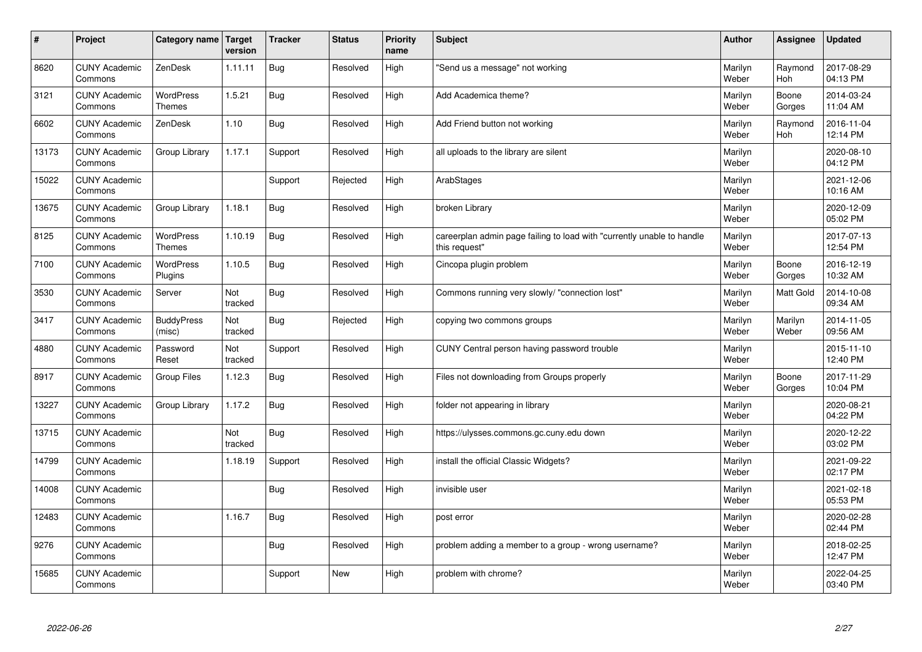| $\vert$ # | Project                         | Category name   Target            | version        | <b>Tracker</b> | <b>Status</b> | <b>Priority</b><br>name | <b>Subject</b>                                                                          | <b>Author</b>    | Assignee              | <b>Updated</b>         |
|-----------|---------------------------------|-----------------------------------|----------------|----------------|---------------|-------------------------|-----------------------------------------------------------------------------------------|------------------|-----------------------|------------------------|
| 8620      | <b>CUNY Academic</b><br>Commons | ZenDesk                           | 1.11.11        | <b>Bug</b>     | Resolved      | High                    | 'Send us a message" not working                                                         | Marilyn<br>Weber | Raymond<br><b>Hoh</b> | 2017-08-29<br>04:13 PM |
| 3121      | <b>CUNY Academic</b><br>Commons | <b>WordPress</b><br><b>Themes</b> | 1.5.21         | <b>Bug</b>     | Resolved      | High                    | Add Academica theme?                                                                    | Marilyn<br>Weber | Boone<br>Gorges       | 2014-03-24<br>11:04 AM |
| 6602      | <b>CUNY Academic</b><br>Commons | ZenDesk                           | 1.10           | <b>Bug</b>     | Resolved      | High                    | Add Friend button not working                                                           | Marilyn<br>Weber | Raymond<br><b>Hoh</b> | 2016-11-04<br>12:14 PM |
| 13173     | <b>CUNY Academic</b><br>Commons | Group Library                     | 1.17.1         | Support        | Resolved      | High                    | all uploads to the library are silent                                                   | Marilyn<br>Weber |                       | 2020-08-10<br>04:12 PM |
| 15022     | <b>CUNY Academic</b><br>Commons |                                   |                | Support        | Rejected      | High                    | ArabStages                                                                              | Marilyn<br>Weber |                       | 2021-12-06<br>10:16 AM |
| 13675     | <b>CUNY Academic</b><br>Commons | Group Library                     | 1.18.1         | <b>Bug</b>     | Resolved      | High                    | broken Library                                                                          | Marilyn<br>Weber |                       | 2020-12-09<br>05:02 PM |
| 8125      | <b>CUNY Academic</b><br>Commons | <b>WordPress</b><br>Themes        | 1.10.19        | <b>Bug</b>     | Resolved      | High                    | careerplan admin page failing to load with "currently unable to handle<br>this request" | Marilyn<br>Weber |                       | 2017-07-13<br>12:54 PM |
| 7100      | <b>CUNY Academic</b><br>Commons | <b>WordPress</b><br>Plugins       | 1.10.5         | <b>Bug</b>     | Resolved      | High                    | Cincopa plugin problem                                                                  | Marilyn<br>Weber | Boone<br>Gorges       | 2016-12-19<br>10:32 AM |
| 3530      | <b>CUNY Academic</b><br>Commons | Server                            | Not<br>tracked | <b>Bug</b>     | Resolved      | High                    | Commons running very slowly/ "connection lost"                                          | Marilyn<br>Weber | Matt Gold             | 2014-10-08<br>09:34 AM |
| 3417      | <b>CUNY Academic</b><br>Commons | <b>BuddyPress</b><br>(misc)       | Not<br>tracked | <b>Bug</b>     | Rejected      | High                    | copying two commons groups                                                              | Marilyn<br>Weber | Marilyn<br>Weber      | 2014-11-05<br>09:56 AM |
| 4880      | <b>CUNY Academic</b><br>Commons | Password<br>Reset                 | Not<br>tracked | Support        | Resolved      | High                    | CUNY Central person having password trouble                                             | Marilyn<br>Weber |                       | 2015-11-10<br>12:40 PM |
| 8917      | <b>CUNY Academic</b><br>Commons | Group Files                       | 1.12.3         | <b>Bug</b>     | Resolved      | High                    | Files not downloading from Groups properly                                              | Marilyn<br>Weber | Boone<br>Gorges       | 2017-11-29<br>10:04 PM |
| 13227     | <b>CUNY Academic</b><br>Commons | Group Library                     | 1.17.2         | Bug            | Resolved      | High                    | folder not appearing in library                                                         | Marilyn<br>Weber |                       | 2020-08-21<br>04:22 PM |
| 13715     | <b>CUNY Academic</b><br>Commons |                                   | Not<br>tracked | Bug            | Resolved      | High                    | https://ulysses.commons.gc.cuny.edu down                                                | Marilyn<br>Weber |                       | 2020-12-22<br>03:02 PM |
| 14799     | <b>CUNY Academic</b><br>Commons |                                   | 1.18.19        | Support        | Resolved      | High                    | install the official Classic Widgets?                                                   | Marilyn<br>Weber |                       | 2021-09-22<br>02:17 PM |
| 14008     | <b>CUNY Academic</b><br>Commons |                                   |                | <b>Bug</b>     | Resolved      | High                    | invisible user                                                                          | Marilyn<br>Weber |                       | 2021-02-18<br>05:53 PM |
| 12483     | <b>CUNY Academic</b><br>Commons |                                   | 1.16.7         | Bug            | Resolved      | High                    | post error                                                                              | Marilyn<br>Weber |                       | 2020-02-28<br>02:44 PM |
| 9276      | <b>CUNY Academic</b><br>Commons |                                   |                | <b>Bug</b>     | Resolved      | High                    | problem adding a member to a group - wrong username?                                    | Marilyn<br>Weber |                       | 2018-02-25<br>12:47 PM |
| 15685     | <b>CUNY Academic</b><br>Commons |                                   |                | Support        | <b>New</b>    | High                    | problem with chrome?                                                                    | Marilyn<br>Weber |                       | 2022-04-25<br>03:40 PM |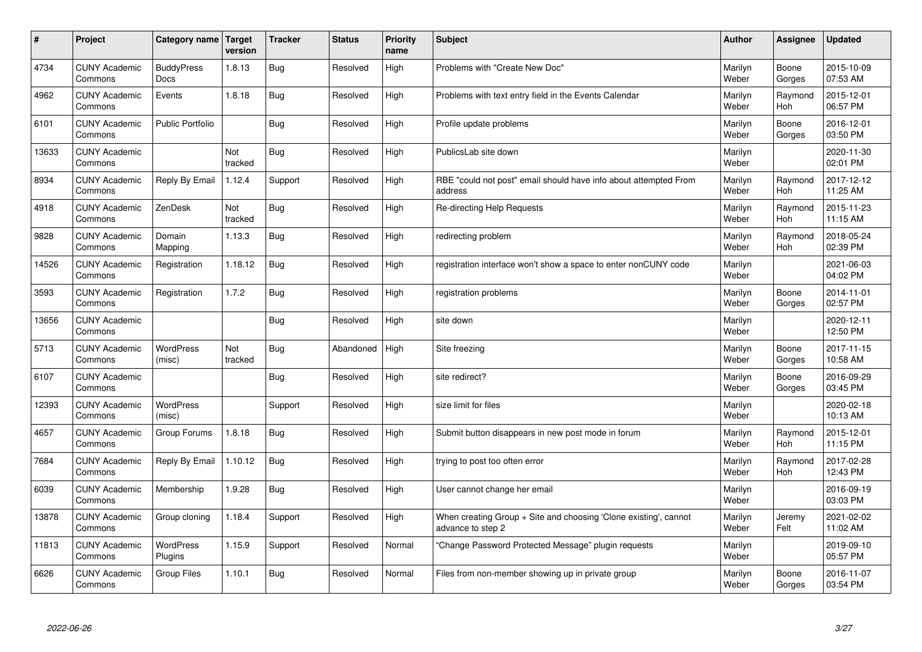| $\sharp$ | Project                         | Category name   Target           | version        | <b>Tracker</b> | <b>Status</b> | <b>Priority</b><br>name | <b>Subject</b>                                                                        | <b>Author</b>    | Assignee        | <b>Updated</b>         |
|----------|---------------------------------|----------------------------------|----------------|----------------|---------------|-------------------------|---------------------------------------------------------------------------------------|------------------|-----------------|------------------------|
| 4734     | <b>CUNY Academic</b><br>Commons | <b>BuddyPress</b><br><b>Docs</b> | 1.8.13         | Bug            | Resolved      | High                    | Problems with "Create New Doc"                                                        | Marilyn<br>Weber | Boone<br>Gorges | 2015-10-09<br>07:53 AM |
| 4962     | <b>CUNY Academic</b><br>Commons | Events                           | 1.8.18         | Bug            | Resolved      | High                    | Problems with text entry field in the Events Calendar                                 | Marilyn<br>Weber | Raymond<br>Hoh  | 2015-12-01<br>06:57 PM |
| 6101     | <b>CUNY Academic</b><br>Commons | <b>Public Portfolio</b>          |                | Bug            | Resolved      | High                    | Profile update problems                                                               | Marilyn<br>Weber | Boone<br>Gorges | 2016-12-01<br>03:50 PM |
| 13633    | <b>CUNY Academic</b><br>Commons |                                  | Not<br>tracked | <b>Bug</b>     | Resolved      | High                    | PublicsLab site down                                                                  | Marilyn<br>Weber |                 | 2020-11-30<br>02:01 PM |
| 8934     | <b>CUNY Academic</b><br>Commons | Reply By Email                   | 1.12.4         | Support        | Resolved      | High                    | RBE "could not post" email should have info about attempted From<br>address           | Marilyn<br>Weber | Raymond<br>Hoh  | 2017-12-12<br>11:25 AM |
| 4918     | <b>CUNY Academic</b><br>Commons | ZenDesk                          | Not<br>tracked | Bug            | Resolved      | High                    | Re-directing Help Requests                                                            | Marilyn<br>Weber | Raymond<br>Hoh  | 2015-11-23<br>11:15 AM |
| 9828     | <b>CUNY Academic</b><br>Commons | Domain<br>Mapping                | 1.13.3         | Bug            | Resolved      | High                    | redirecting problem                                                                   | Marilyn<br>Weber | Raymond<br>Hoh  | 2018-05-24<br>02:39 PM |
| 14526    | <b>CUNY Academic</b><br>Commons | Registration                     | 1.18.12        | Bug            | Resolved      | High                    | registration interface won't show a space to enter nonCUNY code                       | Marilyn<br>Weber |                 | 2021-06-03<br>04:02 PM |
| 3593     | <b>CUNY Academic</b><br>Commons | Registration                     | 1.7.2          | Bug            | Resolved      | High                    | registration problems                                                                 | Marilyn<br>Weber | Boone<br>Gorges | 2014-11-01<br>02:57 PM |
| 13656    | <b>CUNY Academic</b><br>Commons |                                  |                | <b>Bug</b>     | Resolved      | High                    | site down                                                                             | Marilyn<br>Weber |                 | 2020-12-11<br>12:50 PM |
| 5713     | <b>CUNY Academic</b><br>Commons | <b>WordPress</b><br>(misc)       | Not<br>tracked | <b>Bug</b>     | Abandoned     | High                    | Site freezing                                                                         | Marilyn<br>Weber | Boone<br>Gorges | 2017-11-15<br>10:58 AM |
| 6107     | <b>CUNY Academic</b><br>Commons |                                  |                | Bug            | Resolved      | High                    | site redirect?                                                                        | Marilyn<br>Weber | Boone<br>Gorges | 2016-09-29<br>03:45 PM |
| 12393    | <b>CUNY Academic</b><br>Commons | <b>WordPress</b><br>(misc)       |                | Support        | Resolved      | High                    | size limit for files                                                                  | Marilyn<br>Weber |                 | 2020-02-18<br>10:13 AM |
| 4657     | <b>CUNY Academic</b><br>Commons | Group Forums                     | 1.8.18         | Bug            | Resolved      | High                    | Submit button disappears in new post mode in forum                                    | Marilyn<br>Weber | Raymond<br>Hoh  | 2015-12-01<br>11:15 PM |
| 7684     | <b>CUNY Academic</b><br>Commons | Reply By Email                   | 1.10.12        | <b>Bug</b>     | Resolved      | High                    | trying to post too often error                                                        | Marilyn<br>Weber | Raymond<br>Hoh  | 2017-02-28<br>12:43 PM |
| 6039     | <b>CUNY Academic</b><br>Commons | Membership                       | 1.9.28         | Bug            | Resolved      | High                    | User cannot change her email                                                          | Marilyn<br>Weber |                 | 2016-09-19<br>03:03 PM |
| 13878    | <b>CUNY Academic</b><br>Commons | Group cloning                    | 1.18.4         | Support        | Resolved      | High                    | When creating Group + Site and choosing 'Clone existing', cannot<br>advance to step 2 | Marilyn<br>Weber | Jeremy<br>Felt  | 2021-02-02<br>11:02 AM |
| 11813    | <b>CUNY Academic</b><br>Commons | WordPress<br>Plugins             | 1.15.9         | Support        | Resolved      | Normal                  | 'Change Password Protected Message" plugin requests                                   | Marilyn<br>Weber |                 | 2019-09-10<br>05:57 PM |
| 6626     | <b>CUNY Academic</b><br>Commons | <b>Group Files</b>               | 1.10.1         | Bug            | Resolved      | Normal                  | Files from non-member showing up in private group                                     | Marilyn<br>Weber | Boone<br>Gorges | 2016-11-07<br>03:54 PM |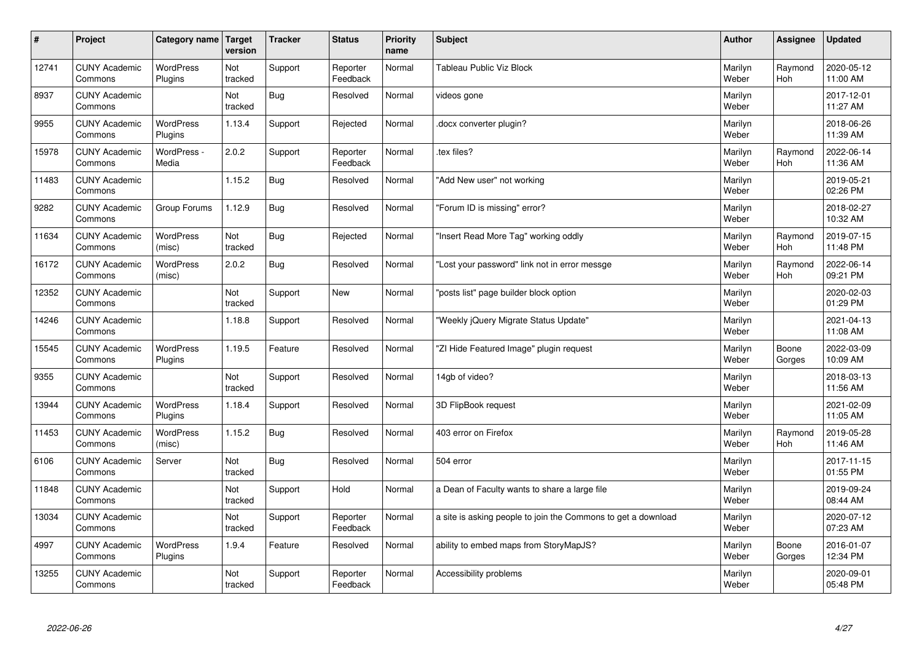| $\sharp$ | Project                         | Category name               | Target<br>version | <b>Tracker</b> | <b>Status</b>        | <b>Priority</b><br>name | <b>Subject</b>                                                | <b>Author</b>    | Assignee              | Updated                |
|----------|---------------------------------|-----------------------------|-------------------|----------------|----------------------|-------------------------|---------------------------------------------------------------|------------------|-----------------------|------------------------|
| 12741    | <b>CUNY Academic</b><br>Commons | <b>WordPress</b><br>Plugins | Not<br>tracked    | Support        | Reporter<br>Feedback | Normal                  | <b>Tableau Public Viz Block</b>                               | Marilyn<br>Weber | Raymond<br><b>Hoh</b> | 2020-05-12<br>11:00 AM |
| 8937     | <b>CUNY Academic</b><br>Commons |                             | Not<br>tracked    | Bug            | Resolved             | Normal                  | videos gone                                                   | Marilyn<br>Weber |                       | 2017-12-01<br>11:27 AM |
| 9955     | <b>CUNY Academic</b><br>Commons | <b>WordPress</b><br>Plugins | 1.13.4            | Support        | Rejected             | Normal                  | docx converter plugin?                                        | Marilyn<br>Weber |                       | 2018-06-26<br>11:39 AM |
| 15978    | <b>CUNY Academic</b><br>Commons | WordPress -<br>Media        | 2.0.2             | Support        | Reporter<br>Feedback | Normal                  | tex files?                                                    | Marilyn<br>Weber | Raymond<br>Hoh        | 2022-06-14<br>11:36 AM |
| 11483    | <b>CUNY Academic</b><br>Commons |                             | 1.15.2            | <b>Bug</b>     | Resolved             | Normal                  | "Add New user" not working                                    | Marilyn<br>Weber |                       | 2019-05-21<br>02:26 PM |
| 9282     | <b>CUNY Academic</b><br>Commons | Group Forums                | 1.12.9            | Bug            | Resolved             | Normal                  | 'Forum ID is missing" error?                                  | Marilyn<br>Weber |                       | 2018-02-27<br>10:32 AM |
| 11634    | <b>CUNY Academic</b><br>Commons | <b>WordPress</b><br>(misc)  | Not<br>tracked    | Bug            | Rejected             | Normal                  | "Insert Read More Tag" working oddly                          | Marilyn<br>Weber | Raymond<br>Hoh        | 2019-07-15<br>11:48 PM |
| 16172    | <b>CUNY Academic</b><br>Commons | <b>WordPress</b><br>(misc)  | 2.0.2             | Bug            | Resolved             | Normal                  | "Lost your password" link not in error messge                 | Marilyn<br>Weber | Raymond<br><b>Hoh</b> | 2022-06-14<br>09:21 PM |
| 12352    | <b>CUNY Academic</b><br>Commons |                             | Not<br>tracked    | Support        | New                  | Normal                  | posts list" page builder block option                         | Marilyn<br>Weber |                       | 2020-02-03<br>01:29 PM |
| 14246    | <b>CUNY Academic</b><br>Commons |                             | 1.18.8            | Support        | Resolved             | Normal                  | 'Weekly jQuery Migrate Status Update"                         | Marilyn<br>Weber |                       | 2021-04-13<br>11:08 AM |
| 15545    | <b>CUNY Academic</b><br>Commons | <b>WordPress</b><br>Plugins | 1.19.5            | Feature        | Resolved             | Normal                  | 'ZI Hide Featured Image" plugin request                       | Marilyn<br>Weber | Boone<br>Gorges       | 2022-03-09<br>10:09 AM |
| 9355     | <b>CUNY Academic</b><br>Commons |                             | Not<br>tracked    | Support        | Resolved             | Normal                  | 14gb of video?                                                | Marilyn<br>Weber |                       | 2018-03-13<br>11:56 AM |
| 13944    | <b>CUNY Academic</b><br>Commons | WordPress<br>Plugins        | 1.18.4            | Support        | Resolved             | Normal                  | 3D FlipBook request                                           | Marilyn<br>Weber |                       | 2021-02-09<br>11:05 AM |
| 11453    | <b>CUNY Academic</b><br>Commons | <b>WordPress</b><br>(misc)  | 1.15.2            | Bug            | Resolved             | Normal                  | 403 error on Firefox                                          | Marilyn<br>Weber | Raymond<br>Hoh        | 2019-05-28<br>11:46 AM |
| 6106     | <b>CUNY Academic</b><br>Commons | Server                      | Not<br>tracked    | <b>Bug</b>     | Resolved             | Normal                  | 504 error                                                     | Marilyn<br>Weber |                       | 2017-11-15<br>01:55 PM |
| 11848    | <b>CUNY Academic</b><br>Commons |                             | Not<br>tracked    | Support        | Hold                 | Normal                  | a Dean of Faculty wants to share a large file                 | Marilyn<br>Weber |                       | 2019-09-24<br>08:44 AM |
| 13034    | <b>CUNY Academic</b><br>Commons |                             | Not<br>tracked    | Support        | Reporter<br>Feedback | Normal                  | a site is asking people to join the Commons to get a download | Marilyn<br>Weber |                       | 2020-07-12<br>07:23 AM |
| 4997     | <b>CUNY Academic</b><br>Commons | WordPress<br>Plugins        | 1.9.4             | Feature        | Resolved             | Normal                  | ability to embed maps from StoryMapJS?                        | Marilyn<br>Weber | Boone<br>Gorges       | 2016-01-07<br>12:34 PM |
| 13255    | <b>CUNY Academic</b><br>Commons |                             | Not<br>tracked    | Support        | Reporter<br>Feedback | Normal                  | Accessibility problems                                        | Marilyn<br>Weber |                       | 2020-09-01<br>05:48 PM |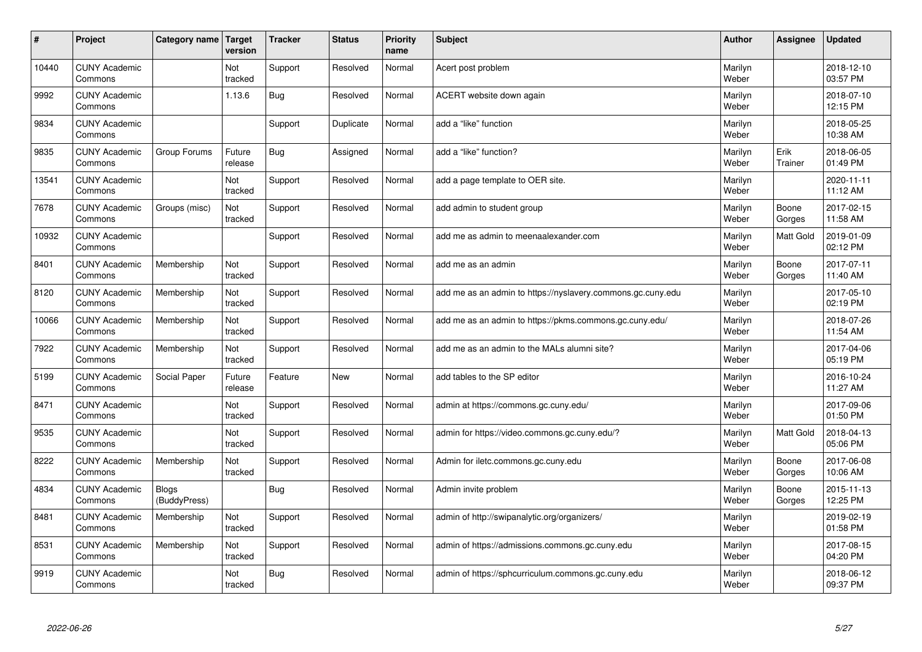| $\vert$ # | Project                         | Category name                | Target<br>version     | <b>Tracker</b> | <b>Status</b> | <b>Priority</b><br>name | <b>Subject</b>                                              | <b>Author</b>    | Assignee        | <b>Updated</b>         |
|-----------|---------------------------------|------------------------------|-----------------------|----------------|---------------|-------------------------|-------------------------------------------------------------|------------------|-----------------|------------------------|
| 10440     | <b>CUNY Academic</b><br>Commons |                              | Not<br>tracked        | Support        | Resolved      | Normal                  | Acert post problem                                          | Marilyn<br>Weber |                 | 2018-12-10<br>03:57 PM |
| 9992      | <b>CUNY Academic</b><br>Commons |                              | 1.13.6                | Bug            | Resolved      | Normal                  | ACERT website down again                                    | Marilyn<br>Weber |                 | 2018-07-10<br>12:15 PM |
| 9834      | <b>CUNY Academic</b><br>Commons |                              |                       | Support        | Duplicate     | Normal                  | add a "like" function                                       | Marilyn<br>Weber |                 | 2018-05-25<br>10:38 AM |
| 9835      | <b>CUNY Academic</b><br>Commons | Group Forums                 | Future<br>release     | <b>Bug</b>     | Assigned      | Normal                  | add a "like" function?                                      | Marilyn<br>Weber | Erik<br>Trainer | 2018-06-05<br>01:49 PM |
| 13541     | <b>CUNY Academic</b><br>Commons |                              | <b>Not</b><br>tracked | Support        | Resolved      | Normal                  | add a page template to OER site.                            | Marilyn<br>Weber |                 | 2020-11-11<br>11:12 AM |
| 7678      | <b>CUNY Academic</b><br>Commons | Groups (misc)                | Not<br>tracked        | Support        | Resolved      | Normal                  | add admin to student group                                  | Marilyn<br>Weber | Boone<br>Gorges | 2017-02-15<br>11:58 AM |
| 10932     | <b>CUNY Academic</b><br>Commons |                              |                       | Support        | Resolved      | Normal                  | add me as admin to meenaalexander.com                       | Marilyn<br>Weber | Matt Gold       | 2019-01-09<br>02:12 PM |
| 8401      | <b>CUNY Academic</b><br>Commons | Membership                   | Not<br>tracked        | Support        | Resolved      | Normal                  | add me as an admin                                          | Marilyn<br>Weber | Boone<br>Gorges | 2017-07-11<br>11:40 AM |
| 8120      | <b>CUNY Academic</b><br>Commons | Membership                   | Not<br>tracked        | Support        | Resolved      | Normal                  | add me as an admin to https://nyslavery.commons.gc.cuny.edu | Marilyn<br>Weber |                 | 2017-05-10<br>02:19 PM |
| 10066     | <b>CUNY Academic</b><br>Commons | Membership                   | Not<br>tracked        | Support        | Resolved      | Normal                  | add me as an admin to https://pkms.commons.gc.cuny.edu/     | Marilyn<br>Weber |                 | 2018-07-26<br>11:54 AM |
| 7922      | <b>CUNY Academic</b><br>Commons | Membership                   | Not<br>tracked        | Support        | Resolved      | Normal                  | add me as an admin to the MALs alumni site?                 | Marilyn<br>Weber |                 | 2017-04-06<br>05:19 PM |
| 5199      | <b>CUNY Academic</b><br>Commons | Social Paper                 | Future<br>release     | Feature        | <b>New</b>    | Normal                  | add tables to the SP editor                                 | Marilyn<br>Weber |                 | 2016-10-24<br>11:27 AM |
| 8471      | <b>CUNY Academic</b><br>Commons |                              | Not<br>tracked        | Support        | Resolved      | Normal                  | admin at https://commons.gc.cuny.edu/                       | Marilyn<br>Weber |                 | 2017-09-06<br>01:50 PM |
| 9535      | <b>CUNY Academic</b><br>Commons |                              | Not<br>tracked        | Support        | Resolved      | Normal                  | admin for https://video.commons.gc.cuny.edu/?               | Marilyn<br>Weber | Matt Gold       | 2018-04-13<br>05:06 PM |
| 8222      | <b>CUNY Academic</b><br>Commons | Membership                   | Not<br>tracked        | Support        | Resolved      | Normal                  | Admin for iletc.commons.gc.cuny.edu                         | Marilyn<br>Weber | Boone<br>Gorges | 2017-06-08<br>10:06 AM |
| 4834      | <b>CUNY Academic</b><br>Commons | <b>Blogs</b><br>(BuddyPress) |                       | Bug            | Resolved      | Normal                  | Admin invite problem                                        | Marilyn<br>Weber | Boone<br>Gorges | 2015-11-13<br>12:25 PM |
| 8481      | <b>CUNY Academic</b><br>Commons | Membership                   | Not<br>tracked        | Support        | Resolved      | Normal                  | admin of http://swipanalytic.org/organizers/                | Marilyn<br>Weber |                 | 2019-02-19<br>01:58 PM |
| 8531      | <b>CUNY Academic</b><br>Commons | Membership                   | Not<br>tracked        | Support        | Resolved      | Normal                  | admin of https://admissions.commons.gc.cuny.edu             | Marilyn<br>Weber |                 | 2017-08-15<br>04:20 PM |
| 9919      | <b>CUNY Academic</b><br>Commons |                              | Not<br>tracked        | Bug            | Resolved      | Normal                  | admin of https://sphcurriculum.commons.gc.cuny.edu          | Marilyn<br>Weber |                 | 2018-06-12<br>09:37 PM |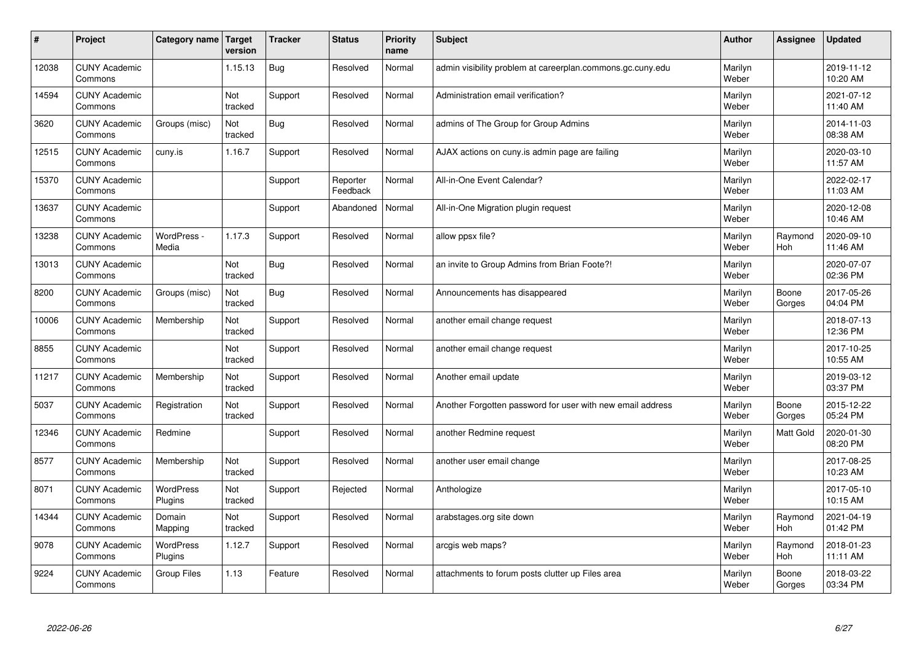| #     | Project                         | Category name   Target      | version        | <b>Tracker</b> | <b>Status</b>        | <b>Priority</b><br>name | <b>Subject</b>                                             | <b>Author</b>    | Assignee         | <b>Updated</b>         |
|-------|---------------------------------|-----------------------------|----------------|----------------|----------------------|-------------------------|------------------------------------------------------------|------------------|------------------|------------------------|
| 12038 | <b>CUNY Academic</b><br>Commons |                             | 1.15.13        | Bug            | Resolved             | Normal                  | admin visibility problem at careerplan.commons.gc.cuny.edu | Marilyn<br>Weber |                  | 2019-11-12<br>10:20 AM |
| 14594 | <b>CUNY Academic</b><br>Commons |                             | Not<br>tracked | Support        | Resolved             | Normal                  | Administration email verification?                         | Marilyn<br>Weber |                  | 2021-07-12<br>11:40 AM |
| 3620  | <b>CUNY Academic</b><br>Commons | Groups (misc)               | Not<br>tracked | Bug            | Resolved             | Normal                  | admins of The Group for Group Admins                       | Marilyn<br>Weber |                  | 2014-11-03<br>08:38 AM |
| 12515 | <b>CUNY Academic</b><br>Commons | cuny.is                     | 1.16.7         | Support        | Resolved             | Normal                  | AJAX actions on cuny is admin page are failing             | Marilyn<br>Weber |                  | 2020-03-10<br>11:57 AM |
| 15370 | <b>CUNY Academic</b><br>Commons |                             |                | Support        | Reporter<br>Feedback | Normal                  | All-in-One Event Calendar?                                 | Marilyn<br>Weber |                  | 2022-02-17<br>11:03 AM |
| 13637 | <b>CUNY Academic</b><br>Commons |                             |                | Support        | Abandoned            | Normal                  | All-in-One Migration plugin request                        | Marilyn<br>Weber |                  | 2020-12-08<br>10:46 AM |
| 13238 | <b>CUNY Academic</b><br>Commons | WordPress -<br>Media        | 1.17.3         | Support        | Resolved             | Normal                  | allow ppsx file?                                           | Marilyn<br>Weber | Raymond<br>Hoh   | 2020-09-10<br>11:46 AM |
| 13013 | <b>CUNY Academic</b><br>Commons |                             | Not<br>tracked | <b>Bug</b>     | Resolved             | Normal                  | an invite to Group Admins from Brian Foote?!               | Marilyn<br>Weber |                  | 2020-07-07<br>02:36 PM |
| 8200  | <b>CUNY Academic</b><br>Commons | Groups (misc)               | Not<br>tracked | Bug            | Resolved             | Normal                  | Announcements has disappeared                              | Marilyn<br>Weber | Boone<br>Gorges  | 2017-05-26<br>04:04 PM |
| 10006 | <b>CUNY Academic</b><br>Commons | Membership                  | Not<br>tracked | Support        | Resolved             | Normal                  | another email change request                               | Marilyn<br>Weber |                  | 2018-07-13<br>12:36 PM |
| 8855  | <b>CUNY Academic</b><br>Commons |                             | Not<br>tracked | Support        | Resolved             | Normal                  | another email change request                               | Marilyn<br>Weber |                  | 2017-10-25<br>10:55 AM |
| 11217 | <b>CUNY Academic</b><br>Commons | Membership                  | Not<br>tracked | Support        | Resolved             | Normal                  | Another email update                                       | Marilyn<br>Weber |                  | 2019-03-12<br>03:37 PM |
| 5037  | <b>CUNY Academic</b><br>Commons | Registration                | Not<br>tracked | Support        | Resolved             | Normal                  | Another Forgotten password for user with new email address | Marilyn<br>Weber | Boone<br>Gorges  | 2015-12-22<br>05:24 PM |
| 12346 | <b>CUNY Academic</b><br>Commons | Redmine                     |                | Support        | Resolved             | Normal                  | another Redmine request                                    | Marilyn<br>Weber | <b>Matt Gold</b> | 2020-01-30<br>08:20 PM |
| 8577  | <b>CUNY Academic</b><br>Commons | Membership                  | Not<br>tracked | Support        | Resolved             | Normal                  | another user email change                                  | Marilyn<br>Weber |                  | 2017-08-25<br>10:23 AM |
| 8071  | <b>CUNY Academic</b><br>Commons | <b>WordPress</b><br>Plugins | Not<br>tracked | Support        | Rejected             | Normal                  | Anthologize                                                | Marilyn<br>Weber |                  | 2017-05-10<br>10:15 AM |
| 14344 | <b>CUNY Academic</b><br>Commons | Domain<br>Mapping           | Not<br>tracked | Support        | Resolved             | Normal                  | arabstages.org site down                                   | Marilyn<br>Weber | Raymond<br>Hoh   | 2021-04-19<br>01:42 PM |
| 9078  | <b>CUNY Academic</b><br>Commons | WordPress<br>Plugins        | 1.12.7         | Support        | Resolved             | Normal                  | arcgis web maps?                                           | Marilyn<br>Weber | Raymond<br>Hoh   | 2018-01-23<br>11:11 AM |
| 9224  | <b>CUNY Academic</b><br>Commons | Group Files                 | 1.13           | Feature        | Resolved             | Normal                  | attachments to forum posts clutter up Files area           | Marilyn<br>Weber | Boone<br>Gorges  | 2018-03-22<br>03:34 PM |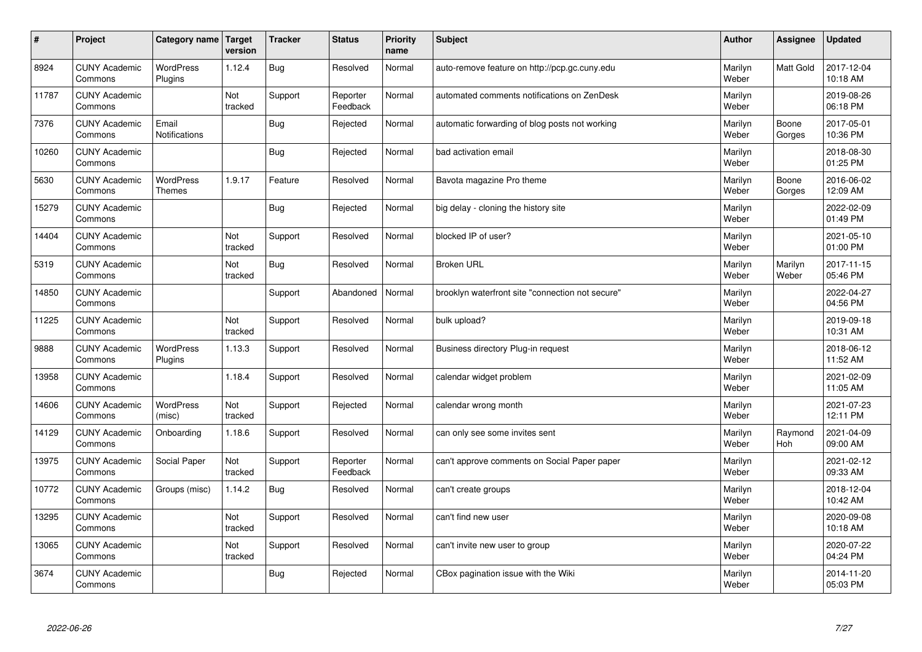| $\sharp$ | Project                         | Category name                     | Target<br>version | <b>Tracker</b> | <b>Status</b>        | <b>Priority</b><br>name | <b>Subject</b>                                   | <b>Author</b>    | Assignee         | <b>Updated</b>         |
|----------|---------------------------------|-----------------------------------|-------------------|----------------|----------------------|-------------------------|--------------------------------------------------|------------------|------------------|------------------------|
| 8924     | <b>CUNY Academic</b><br>Commons | <b>WordPress</b><br>Plugins       | 1.12.4            | Bug            | Resolved             | Normal                  | auto-remove feature on http://pcp.gc.cuny.edu    | Marilyn<br>Weber | <b>Matt Gold</b> | 2017-12-04<br>10:18 AM |
| 11787    | <b>CUNY Academic</b><br>Commons |                                   | Not<br>tracked    | Support        | Reporter<br>Feedback | Normal                  | automated comments notifications on ZenDesk      | Marilyn<br>Weber |                  | 2019-08-26<br>06:18 PM |
| 7376     | <b>CUNY Academic</b><br>Commons | Email<br>Notifications            |                   | <b>Bug</b>     | Rejected             | Normal                  | automatic forwarding of blog posts not working   | Marilyn<br>Weber | Boone<br>Gorges  | 2017-05-01<br>10:36 PM |
| 10260    | <b>CUNY Academic</b><br>Commons |                                   |                   | <b>Bug</b>     | Rejected             | Normal                  | bad activation email                             | Marilyn<br>Weber |                  | 2018-08-30<br>01:25 PM |
| 5630     | <b>CUNY Academic</b><br>Commons | <b>WordPress</b><br><b>Themes</b> | 1.9.17            | Feature        | Resolved             | Normal                  | Bavota magazine Pro theme                        | Marilyn<br>Weber | Boone<br>Gorges  | 2016-06-02<br>12:09 AM |
| 15279    | <b>CUNY Academic</b><br>Commons |                                   |                   | Bug            | Rejected             | Normal                  | big delay - cloning the history site             | Marilyn<br>Weber |                  | 2022-02-09<br>01:49 PM |
| 14404    | <b>CUNY Academic</b><br>Commons |                                   | Not<br>tracked    | Support        | Resolved             | Normal                  | blocked IP of user?                              | Marilyn<br>Weber |                  | 2021-05-10<br>01:00 PM |
| 5319     | <b>CUNY Academic</b><br>Commons |                                   | Not<br>tracked    | Bug            | Resolved             | Normal                  | <b>Broken URL</b>                                | Marilyn<br>Weber | Marilyn<br>Weber | 2017-11-15<br>05:46 PM |
| 14850    | <b>CUNY Academic</b><br>Commons |                                   |                   | Support        | Abandoned            | Normal                  | brooklyn waterfront site "connection not secure" | Marilyn<br>Weber |                  | 2022-04-27<br>04:56 PM |
| 11225    | <b>CUNY Academic</b><br>Commons |                                   | Not<br>tracked    | Support        | Resolved             | Normal                  | bulk upload?                                     | Marilyn<br>Weber |                  | 2019-09-18<br>10:31 AM |
| 9888     | <b>CUNY Academic</b><br>Commons | <b>WordPress</b><br>Plugins       | 1.13.3            | Support        | Resolved             | Normal                  | Business directory Plug-in request               | Marilyn<br>Weber |                  | 2018-06-12<br>11:52 AM |
| 13958    | <b>CUNY Academic</b><br>Commons |                                   | 1.18.4            | Support        | Resolved             | Normal                  | calendar widget problem                          | Marilyn<br>Weber |                  | 2021-02-09<br>11:05 AM |
| 14606    | <b>CUNY Academic</b><br>Commons | WordPress<br>(misc)               | Not<br>tracked    | Support        | Rejected             | Normal                  | calendar wrong month                             | Marilyn<br>Weber |                  | 2021-07-23<br>12:11 PM |
| 14129    | <b>CUNY Academic</b><br>Commons | Onboarding                        | 1.18.6            | Support        | Resolved             | Normal                  | can only see some invites sent                   | Marilyn<br>Weber | Raymond<br>Hoh   | 2021-04-09<br>09:00 AM |
| 13975    | <b>CUNY Academic</b><br>Commons | Social Paper                      | Not<br>tracked    | Support        | Reporter<br>Feedback | Normal                  | can't approve comments on Social Paper paper     | Marilyn<br>Weber |                  | 2021-02-12<br>09:33 AM |
| 10772    | <b>CUNY Academic</b><br>Commons | Groups (misc)                     | 1.14.2            | Bug            | Resolved             | Normal                  | can't create groups                              | Marilyn<br>Weber |                  | 2018-12-04<br>10:42 AM |
| 13295    | <b>CUNY Academic</b><br>Commons |                                   | Not<br>tracked    | Support        | Resolved             | Normal                  | can't find new user                              | Marilyn<br>Weber |                  | 2020-09-08<br>10:18 AM |
| 13065    | <b>CUNY Academic</b><br>Commons |                                   | Not<br>tracked    | Support        | Resolved             | Normal                  | can't invite new user to group                   | Marilyn<br>Weber |                  | 2020-07-22<br>04:24 PM |
| 3674     | <b>CUNY Academic</b><br>Commons |                                   |                   | Bug            | Rejected             | Normal                  | CBox pagination issue with the Wiki              | Marilyn<br>Weber |                  | 2014-11-20<br>05:03 PM |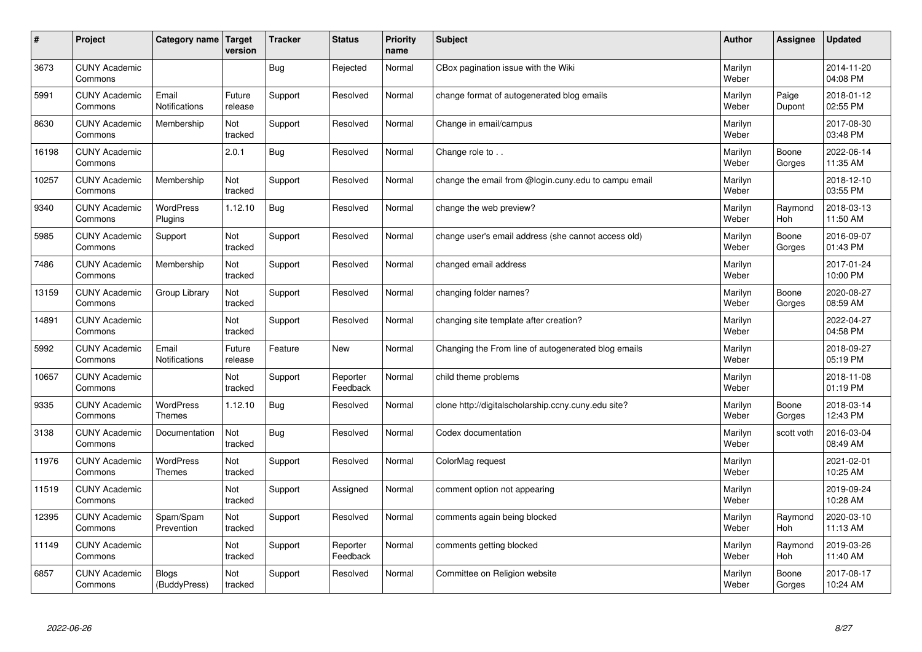| #     | Project                         | Category name                     | <b>Target</b><br>version | <b>Tracker</b> | <b>Status</b>        | <b>Priority</b><br>name | <b>Subject</b>                                       | <b>Author</b>    | Assignee        | <b>Updated</b>         |
|-------|---------------------------------|-----------------------------------|--------------------------|----------------|----------------------|-------------------------|------------------------------------------------------|------------------|-----------------|------------------------|
| 3673  | <b>CUNY Academic</b><br>Commons |                                   |                          | Bug            | Rejected             | Normal                  | CBox pagination issue with the Wiki                  | Marilyn<br>Weber |                 | 2014-11-20<br>04:08 PM |
| 5991  | <b>CUNY Academic</b><br>Commons | Email<br><b>Notifications</b>     | Future<br>release        | Support        | Resolved             | Normal                  | change format of autogenerated blog emails           | Marilyn<br>Weber | Paige<br>Dupont | 2018-01-12<br>02:55 PM |
| 8630  | <b>CUNY Academic</b><br>Commons | Membership                        | Not<br>tracked           | Support        | Resolved             | Normal                  | Change in email/campus                               | Marilyn<br>Weber |                 | 2017-08-30<br>03:48 PM |
| 16198 | <b>CUNY Academic</b><br>Commons |                                   | 2.0.1                    | Bug            | Resolved             | Normal                  | Change role to                                       | Marilyn<br>Weber | Boone<br>Gorges | 2022-06-14<br>11:35 AM |
| 10257 | <b>CUNY Academic</b><br>Commons | Membership                        | Not<br>tracked           | Support        | Resolved             | Normal                  | change the email from @login.cuny.edu to campu email | Marilyn<br>Weber |                 | 2018-12-10<br>03:55 PM |
| 9340  | <b>CUNY Academic</b><br>Commons | <b>WordPress</b><br>Plugins       | 1.12.10                  | Bug            | Resolved             | Normal                  | change the web preview?                              | Marilyn<br>Weber | Raymond<br>Hoh  | 2018-03-13<br>11:50 AM |
| 5985  | <b>CUNY Academic</b><br>Commons | Support                           | Not<br>tracked           | Support        | Resolved             | Normal                  | change user's email address (she cannot access old)  | Marilyn<br>Weber | Boone<br>Gorges | 2016-09-07<br>01:43 PM |
| 7486  | <b>CUNY Academic</b><br>Commons | Membership                        | Not<br>tracked           | Support        | Resolved             | Normal                  | changed email address                                | Marilyn<br>Weber |                 | 2017-01-24<br>10:00 PM |
| 13159 | <b>CUNY Academic</b><br>Commons | Group Library                     | Not<br>tracked           | Support        | Resolved             | Normal                  | changing folder names?                               | Marilyn<br>Weber | Boone<br>Gorges | 2020-08-27<br>08:59 AM |
| 14891 | <b>CUNY Academic</b><br>Commons |                                   | Not<br>tracked           | Support        | Resolved             | Normal                  | changing site template after creation?               | Marilyn<br>Weber |                 | 2022-04-27<br>04:58 PM |
| 5992  | <b>CUNY Academic</b><br>Commons | Email<br><b>Notifications</b>     | Future<br>release        | Feature        | New                  | Normal                  | Changing the From line of autogenerated blog emails  | Marilyn<br>Weber |                 | 2018-09-27<br>05:19 PM |
| 10657 | <b>CUNY Academic</b><br>Commons |                                   | Not<br>tracked           | Support        | Reporter<br>Feedback | Normal                  | child theme problems                                 | Marilyn<br>Weber |                 | 2018-11-08<br>01:19 PM |
| 9335  | <b>CUNY Academic</b><br>Commons | <b>WordPress</b><br><b>Themes</b> | 1.12.10                  | Bug            | Resolved             | Normal                  | clone http://digitalscholarship.ccny.cuny.edu site?  | Marilyn<br>Weber | Boone<br>Gorges | 2018-03-14<br>12:43 PM |
| 3138  | <b>CUNY Academic</b><br>Commons | Documentation                     | Not<br>tracked           | Bug            | Resolved             | Normal                  | Codex documentation                                  | Marilyn<br>Weber | scott voth      | 2016-03-04<br>08:49 AM |
| 11976 | <b>CUNY Academic</b><br>Commons | WordPress<br>Themes               | Not<br>tracked           | Support        | Resolved             | Normal                  | ColorMag request                                     | Marilyn<br>Weber |                 | 2021-02-01<br>10:25 AM |
| 11519 | <b>CUNY Academic</b><br>Commons |                                   | Not<br>tracked           | Support        | Assigned             | Normal                  | comment option not appearing                         | Marilyn<br>Weber |                 | 2019-09-24<br>10:28 AM |
| 12395 | <b>CUNY Academic</b><br>Commons | Spam/Spam<br>Prevention           | Not<br>tracked           | Support        | Resolved             | Normal                  | comments again being blocked                         | Marilyn<br>Weber | Raymond<br>Hoh  | 2020-03-10<br>11:13 AM |
| 11149 | <b>CUNY Academic</b><br>Commons |                                   | Not<br>tracked           | Support        | Reporter<br>Feedback | Normal                  | comments getting blocked                             | Marilyn<br>Weber | Raymond<br>Hoh  | 2019-03-26<br>11:40 AM |
| 6857  | <b>CUNY Academic</b><br>Commons | <b>Blogs</b><br>(BuddyPress)      | Not<br>tracked           | Support        | Resolved             | Normal                  | Committee on Religion website                        | Marilyn<br>Weber | Boone<br>Gorges | 2017-08-17<br>10:24 AM |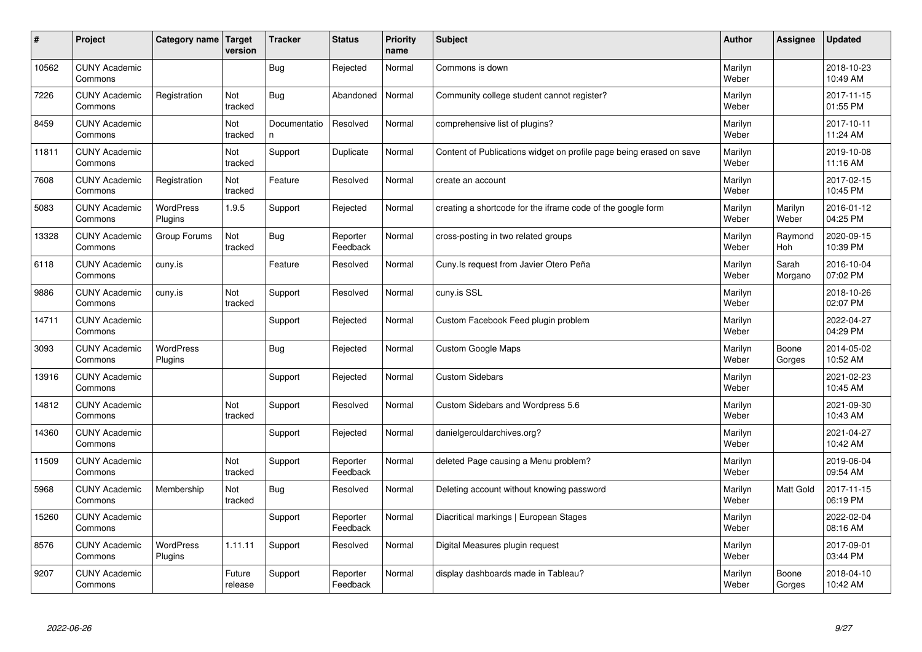| #     | Project                         | Category name               | Target<br>version | <b>Tracker</b>     | <b>Status</b>        | <b>Priority</b><br>name | <b>Subject</b>                                                      | <b>Author</b>    | Assignee         | <b>Updated</b>         |
|-------|---------------------------------|-----------------------------|-------------------|--------------------|----------------------|-------------------------|---------------------------------------------------------------------|------------------|------------------|------------------------|
| 10562 | <b>CUNY Academic</b><br>Commons |                             |                   | Bug                | Rejected             | Normal                  | Commons is down                                                     | Marilyn<br>Weber |                  | 2018-10-23<br>10:49 AM |
| 7226  | <b>CUNY Academic</b><br>Commons | Registration                | Not<br>tracked    | Bug                | Abandoned            | Normal                  | Community college student cannot register?                          | Marilyn<br>Weber |                  | 2017-11-15<br>01:55 PM |
| 8459  | <b>CUNY Academic</b><br>Commons |                             | Not<br>tracked    | Documentatio<br>n. | Resolved             | Normal                  | comprehensive list of plugins?                                      | Marilyn<br>Weber |                  | 2017-10-11<br>11:24 AM |
| 11811 | <b>CUNY Academic</b><br>Commons |                             | Not<br>tracked    | Support            | Duplicate            | Normal                  | Content of Publications widget on profile page being erased on save | Marilyn<br>Weber |                  | 2019-10-08<br>11:16 AM |
| 7608  | <b>CUNY Academic</b><br>Commons | Registration                | Not<br>tracked    | Feature            | Resolved             | Normal                  | create an account                                                   | Marilyn<br>Weber |                  | 2017-02-15<br>10:45 PM |
| 5083  | <b>CUNY Academic</b><br>Commons | WordPress<br>Plugins        | 1.9.5             | Support            | Rejected             | Normal                  | creating a shortcode for the iframe code of the google form         | Marilyn<br>Weber | Marilyn<br>Weber | 2016-01-12<br>04:25 PM |
| 13328 | <b>CUNY Academic</b><br>Commons | Group Forums                | Not<br>tracked    | Bug                | Reporter<br>Feedback | Normal                  | cross-posting in two related groups                                 | Marilyn<br>Weber | Raymond<br>Hoh   | 2020-09-15<br>10:39 PM |
| 6118  | <b>CUNY Academic</b><br>Commons | cuny.is                     |                   | Feature            | Resolved             | Normal                  | Cuny. Is request from Javier Otero Peña                             | Marilyn<br>Weber | Sarah<br>Morgano | 2016-10-04<br>07:02 PM |
| 9886  | <b>CUNY Academic</b><br>Commons | cuny.is                     | Not<br>tracked    | Support            | Resolved             | Normal                  | cuny.is SSL                                                         | Marilyn<br>Weber |                  | 2018-10-26<br>02:07 PM |
| 14711 | <b>CUNY Academic</b><br>Commons |                             |                   | Support            | Rejected             | Normal                  | Custom Facebook Feed plugin problem                                 | Marilyn<br>Weber |                  | 2022-04-27<br>04:29 PM |
| 3093  | <b>CUNY Academic</b><br>Commons | <b>WordPress</b><br>Plugins |                   | Bug                | Rejected             | Normal                  | <b>Custom Google Maps</b>                                           | Marilyn<br>Weber | Boone<br>Gorges  | 2014-05-02<br>10:52 AM |
| 13916 | <b>CUNY Academic</b><br>Commons |                             |                   | Support            | Rejected             | Normal                  | <b>Custom Sidebars</b>                                              | Marilyn<br>Weber |                  | 2021-02-23<br>10:45 AM |
| 14812 | <b>CUNY Academic</b><br>Commons |                             | Not<br>tracked    | Support            | Resolved             | Normal                  | Custom Sidebars and Wordpress 5.6                                   | Marilyn<br>Weber |                  | 2021-09-30<br>10:43 AM |
| 14360 | <b>CUNY Academic</b><br>Commons |                             |                   | Support            | Rejected             | Normal                  | danielgerouldarchives.org?                                          | Marilyn<br>Weber |                  | 2021-04-27<br>10:42 AM |
| 11509 | <b>CUNY Academic</b><br>Commons |                             | Not<br>tracked    | Support            | Reporter<br>Feedback | Normal                  | deleted Page causing a Menu problem?                                | Marilyn<br>Weber |                  | 2019-06-04<br>09:54 AM |
| 5968  | <b>CUNY Academic</b><br>Commons | Membership                  | Not<br>tracked    | <b>Bug</b>         | Resolved             | Normal                  | Deleting account without knowing password                           | Marilyn<br>Weber | Matt Gold        | 2017-11-15<br>06:19 PM |
| 15260 | <b>CUNY Academic</b><br>Commons |                             |                   | Support            | Reporter<br>Feedback | Normal                  | Diacritical markings   European Stages                              | Marilyn<br>Weber |                  | 2022-02-04<br>08:16 AM |
| 8576  | <b>CUNY Academic</b><br>Commons | <b>WordPress</b><br>Plugins | 1.11.11           | Support            | Resolved             | Normal                  | Digital Measures plugin request                                     | Marilyn<br>Weber |                  | 2017-09-01<br>03:44 PM |
| 9207  | <b>CUNY Academic</b><br>Commons |                             | Future<br>release | Support            | Reporter<br>Feedback | Normal                  | display dashboards made in Tableau?                                 | Marilyn<br>Weber | Boone<br>Gorges  | 2018-04-10<br>10:42 AM |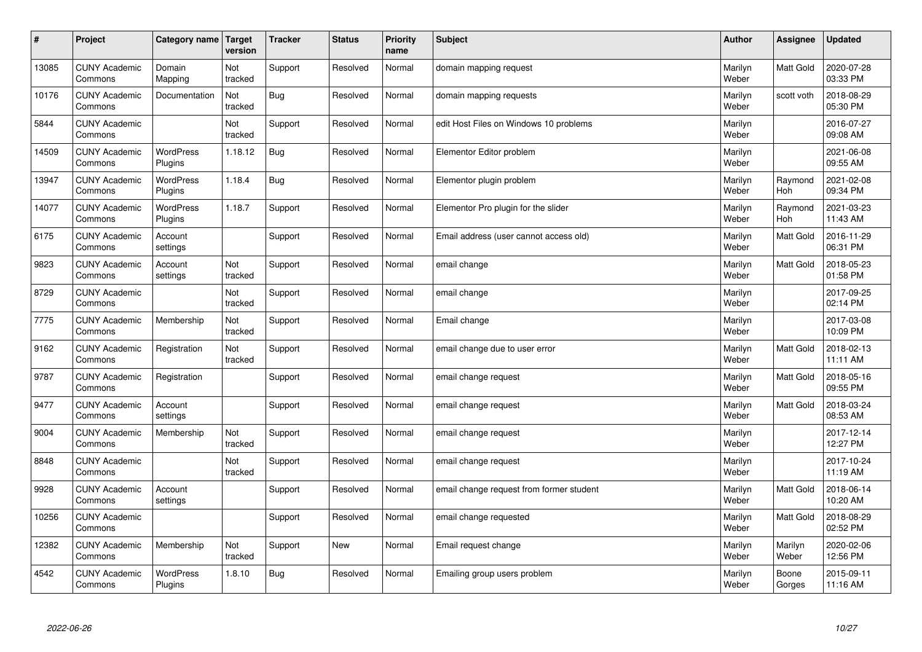| $\sharp$ | Project                         | Category name Target        | version        | <b>Tracker</b> | <b>Status</b> | <b>Priority</b><br>name | <b>Subject</b>                           | <b>Author</b>    | Assignee         | Updated                |
|----------|---------------------------------|-----------------------------|----------------|----------------|---------------|-------------------------|------------------------------------------|------------------|------------------|------------------------|
| 13085    | <b>CUNY Academic</b><br>Commons | Domain<br>Mapping           | Not<br>tracked | Support        | Resolved      | Normal                  | domain mapping request                   | Marilyn<br>Weber | <b>Matt Gold</b> | 2020-07-28<br>03:33 PM |
| 10176    | <b>CUNY Academic</b><br>Commons | Documentation               | Not<br>tracked | Bug            | Resolved      | Normal                  | domain mapping requests                  | Marilyn<br>Weber | scott voth       | 2018-08-29<br>05:30 PM |
| 5844     | <b>CUNY Academic</b><br>Commons |                             | Not<br>tracked | Support        | Resolved      | Normal                  | edit Host Files on Windows 10 problems   | Marilyn<br>Weber |                  | 2016-07-27<br>09:08 AM |
| 14509    | <b>CUNY Academic</b><br>Commons | WordPress<br>Plugins        | 1.18.12        | Bug            | Resolved      | Normal                  | Elementor Editor problem                 | Marilyn<br>Weber |                  | 2021-06-08<br>09:55 AM |
| 13947    | <b>CUNY Academic</b><br>Commons | <b>WordPress</b><br>Plugins | 1.18.4         | Bug            | Resolved      | Normal                  | Elementor plugin problem                 | Marilyn<br>Weber | Raymond<br>Hoh   | 2021-02-08<br>09:34 PM |
| 14077    | <b>CUNY Academic</b><br>Commons | <b>WordPress</b><br>Plugins | 1.18.7         | Support        | Resolved      | Normal                  | Elementor Pro plugin for the slider      | Marilyn<br>Weber | Raymond<br>Hoh   | 2021-03-23<br>11:43 AM |
| 6175     | <b>CUNY Academic</b><br>Commons | Account<br>settings         |                | Support        | Resolved      | Normal                  | Email address (user cannot access old)   | Marilyn<br>Weber | <b>Matt Gold</b> | 2016-11-29<br>06:31 PM |
| 9823     | <b>CUNY Academic</b><br>Commons | Account<br>settings         | Not<br>tracked | Support        | Resolved      | Normal                  | email change                             | Marilyn<br>Weber | Matt Gold        | 2018-05-23<br>01:58 PM |
| 8729     | <b>CUNY Academic</b><br>Commons |                             | Not<br>tracked | Support        | Resolved      | Normal                  | email change                             | Marilyn<br>Weber |                  | 2017-09-25<br>02:14 PM |
| 7775     | <b>CUNY Academic</b><br>Commons | Membership                  | Not<br>tracked | Support        | Resolved      | Normal                  | Email change                             | Marilyn<br>Weber |                  | 2017-03-08<br>10:09 PM |
| 9162     | <b>CUNY Academic</b><br>Commons | Registration                | Not<br>tracked | Support        | Resolved      | Normal                  | email change due to user error           | Marilyn<br>Weber | Matt Gold        | 2018-02-13<br>11:11 AM |
| 9787     | <b>CUNY Academic</b><br>Commons | Registration                |                | Support        | Resolved      | Normal                  | email change request                     | Marilyn<br>Weber | Matt Gold        | 2018-05-16<br>09:55 PM |
| 9477     | <b>CUNY Academic</b><br>Commons | Account<br>settings         |                | Support        | Resolved      | Normal                  | email change request                     | Marilyn<br>Weber | <b>Matt Gold</b> | 2018-03-24<br>08:53 AM |
| 9004     | <b>CUNY Academic</b><br>Commons | Membership                  | Not<br>tracked | Support        | Resolved      | Normal                  | email change request                     | Marilyn<br>Weber |                  | 2017-12-14<br>12:27 PM |
| 8848     | <b>CUNY Academic</b><br>Commons |                             | Not<br>tracked | Support        | Resolved      | Normal                  | email change request                     | Marilyn<br>Weber |                  | 2017-10-24<br>11:19 AM |
| 9928     | <b>CUNY Academic</b><br>Commons | Account<br>settings         |                | Support        | Resolved      | Normal                  | email change request from former student | Marilyn<br>Weber | <b>Matt Gold</b> | 2018-06-14<br>10:20 AM |
| 10256    | <b>CUNY Academic</b><br>Commons |                             |                | Support        | Resolved      | Normal                  | email change requested                   | Marilyn<br>Weber | <b>Matt Gold</b> | 2018-08-29<br>02:52 PM |
| 12382    | <b>CUNY Academic</b><br>Commons | Membership                  | Not<br>tracked | Support        | <b>New</b>    | Normal                  | Email request change                     | Marilyn<br>Weber | Marilyn<br>Weber | 2020-02-06<br>12:56 PM |
| 4542     | <b>CUNY Academic</b><br>Commons | <b>WordPress</b><br>Plugins | 1.8.10         | <b>Bug</b>     | Resolved      | Normal                  | Emailing group users problem             | Marilyn<br>Weber | Boone<br>Gorges  | 2015-09-11<br>11:16 AM |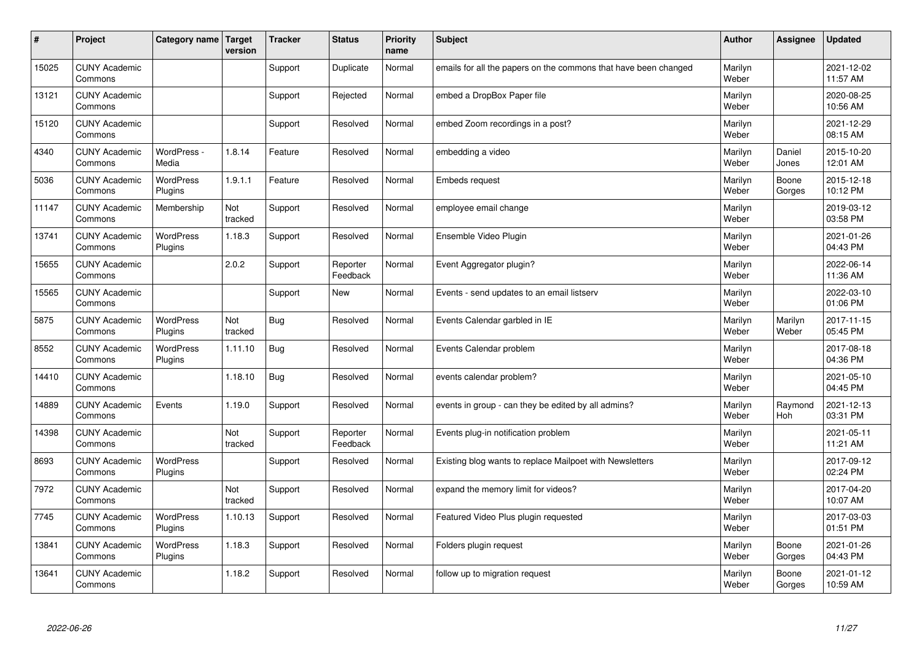| #     | Project                         | Category name   Target      | version        | <b>Tracker</b> | <b>Status</b>        | <b>Priority</b><br>name | <b>Subject</b>                                                  | <b>Author</b>    | Assignee         | <b>Updated</b>         |
|-------|---------------------------------|-----------------------------|----------------|----------------|----------------------|-------------------------|-----------------------------------------------------------------|------------------|------------------|------------------------|
| 15025 | <b>CUNY Academic</b><br>Commons |                             |                | Support        | Duplicate            | Normal                  | emails for all the papers on the commons that have been changed | Marilyn<br>Weber |                  | 2021-12-02<br>11:57 AM |
| 13121 | <b>CUNY Academic</b><br>Commons |                             |                | Support        | Rejected             | Normal                  | embed a DropBox Paper file                                      | Marilyn<br>Weber |                  | 2020-08-25<br>10:56 AM |
| 15120 | <b>CUNY Academic</b><br>Commons |                             |                | Support        | Resolved             | Normal                  | embed Zoom recordings in a post?                                | Marilyn<br>Weber |                  | 2021-12-29<br>08:15 AM |
| 4340  | <b>CUNY Academic</b><br>Commons | WordPress -<br>Media        | 1.8.14         | Feature        | Resolved             | Normal                  | embedding a video                                               | Marilyn<br>Weber | Daniel<br>Jones  | 2015-10-20<br>12:01 AM |
| 5036  | <b>CUNY Academic</b><br>Commons | <b>WordPress</b><br>Plugins | 1.9.1.1        | Feature        | Resolved             | Normal                  | <b>Embeds request</b>                                           | Marilyn<br>Weber | Boone<br>Gorges  | 2015-12-18<br>10:12 PM |
| 11147 | <b>CUNY Academic</b><br>Commons | Membership                  | Not<br>tracked | Support        | Resolved             | Normal                  | employee email change                                           | Marilyn<br>Weber |                  | 2019-03-12<br>03:58 PM |
| 13741 | <b>CUNY Academic</b><br>Commons | <b>WordPress</b><br>Plugins | 1.18.3         | Support        | Resolved             | Normal                  | Ensemble Video Plugin                                           | Marilyn<br>Weber |                  | 2021-01-26<br>04:43 PM |
| 15655 | <b>CUNY Academic</b><br>Commons |                             | 2.0.2          | Support        | Reporter<br>Feedback | Normal                  | Event Aggregator plugin?                                        | Marilyn<br>Weber |                  | 2022-06-14<br>11:36 AM |
| 15565 | <b>CUNY Academic</b><br>Commons |                             |                | Support        | <b>New</b>           | Normal                  | Events - send updates to an email listserv                      | Marilyn<br>Weber |                  | 2022-03-10<br>01:06 PM |
| 5875  | <b>CUNY Academic</b><br>Commons | <b>WordPress</b><br>Plugins | Not<br>tracked | Bug            | Resolved             | Normal                  | Events Calendar garbled in IE                                   | Marilyn<br>Weber | Marilyn<br>Weber | 2017-11-15<br>05:45 PM |
| 8552  | <b>CUNY Academic</b><br>Commons | <b>WordPress</b><br>Plugins | 1.11.10        | Bug            | Resolved             | Normal                  | Events Calendar problem                                         | Marilyn<br>Weber |                  | 2017-08-18<br>04:36 PM |
| 14410 | <b>CUNY Academic</b><br>Commons |                             | 1.18.10        | Bug            | Resolved             | Normal                  | events calendar problem?                                        | Marilyn<br>Weber |                  | 2021-05-10<br>04:45 PM |
| 14889 | <b>CUNY Academic</b><br>Commons | Events                      | 1.19.0         | Support        | Resolved             | Normal                  | events in group - can they be edited by all admins?             | Marilyn<br>Weber | Raymond<br>Hoh   | 2021-12-13<br>03:31 PM |
| 14398 | <b>CUNY Academic</b><br>Commons |                             | Not<br>tracked | Support        | Reporter<br>Feedback | Normal                  | Events plug-in notification problem                             | Marilyn<br>Weber |                  | 2021-05-11<br>11:21 AM |
| 8693  | <b>CUNY Academic</b><br>Commons | WordPress<br>Plugins        |                | Support        | Resolved             | Normal                  | Existing blog wants to replace Mailpoet with Newsletters        | Marilyn<br>Weber |                  | 2017-09-12<br>02:24 PM |
| 7972  | <b>CUNY Academic</b><br>Commons |                             | Not<br>tracked | Support        | Resolved             | Normal                  | expand the memory limit for videos?                             | Marilyn<br>Weber |                  | 2017-04-20<br>10:07 AM |
| 7745  | <b>CUNY Academic</b><br>Commons | WordPress<br>Plugins        | 1.10.13        | Support        | Resolved             | Normal                  | Featured Video Plus plugin requested                            | Marilyn<br>Weber |                  | 2017-03-03<br>01:51 PM |
| 13841 | <b>CUNY Academic</b><br>Commons | <b>WordPress</b><br>Plugins | 1.18.3         | Support        | Resolved             | Normal                  | Folders plugin request                                          | Marilyn<br>Weber | Boone<br>Gorges  | 2021-01-26<br>04:43 PM |
| 13641 | <b>CUNY Academic</b><br>Commons |                             | 1.18.2         | Support        | Resolved             | Normal                  | follow up to migration request                                  | Marilyn<br>Weber | Boone<br>Gorges  | 2021-01-12<br>10:59 AM |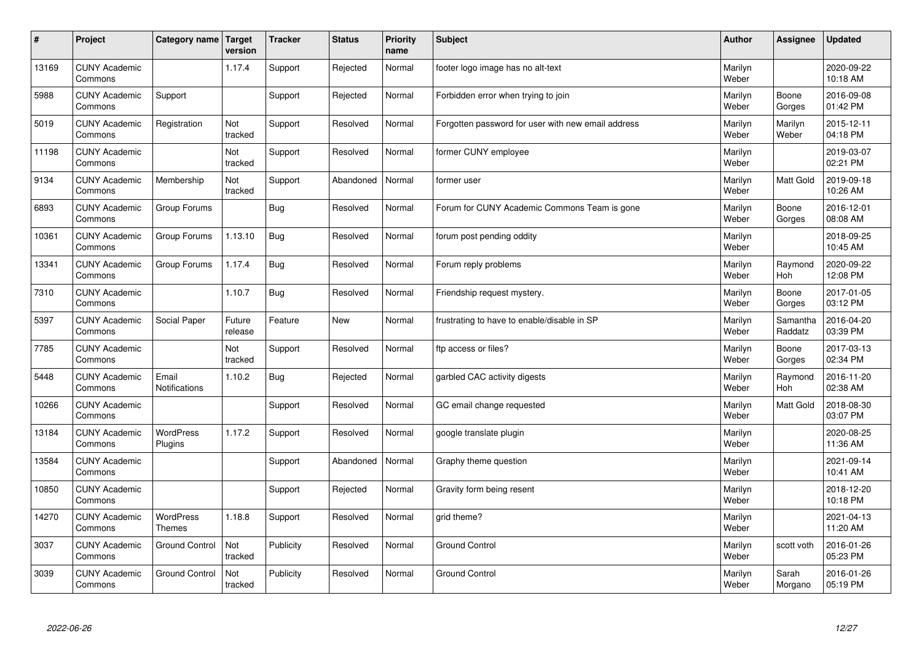| #     | Project                         | Category name   Target        | version           | <b>Tracker</b> | <b>Status</b> | <b>Priority</b><br>name | <b>Subject</b>                                     | <b>Author</b>    | Assignee            | <b>Updated</b>         |
|-------|---------------------------------|-------------------------------|-------------------|----------------|---------------|-------------------------|----------------------------------------------------|------------------|---------------------|------------------------|
| 13169 | <b>CUNY Academic</b><br>Commons |                               | 1.17.4            | Support        | Rejected      | Normal                  | footer logo image has no alt-text                  | Marilyn<br>Weber |                     | 2020-09-22<br>10:18 AM |
| 5988  | <b>CUNY Academic</b><br>Commons | Support                       |                   | Support        | Rejected      | Normal                  | Forbidden error when trying to join                | Marilyn<br>Weber | Boone<br>Gorges     | 2016-09-08<br>01:42 PM |
| 5019  | <b>CUNY Academic</b><br>Commons | Registration                  | Not<br>tracked    | Support        | Resolved      | Normal                  | Forgotten password for user with new email address | Marilyn<br>Weber | Marilyn<br>Weber    | 2015-12-11<br>04:18 PM |
| 11198 | <b>CUNY Academic</b><br>Commons |                               | Not<br>tracked    | Support        | Resolved      | Normal                  | former CUNY employee                               | Marilyn<br>Weber |                     | 2019-03-07<br>02:21 PM |
| 9134  | <b>CUNY Academic</b><br>Commons | Membership                    | Not<br>tracked    | Support        | Abandoned     | Normal                  | former user                                        | Marilyn<br>Weber | Matt Gold           | 2019-09-18<br>10:26 AM |
| 6893  | <b>CUNY Academic</b><br>Commons | Group Forums                  |                   | <b>Bug</b>     | Resolved      | Normal                  | Forum for CUNY Academic Commons Team is gone       | Marilyn<br>Weber | Boone<br>Gorges     | 2016-12-01<br>08:08 AM |
| 10361 | <b>CUNY Academic</b><br>Commons | Group Forums                  | 1.13.10           | <b>Bug</b>     | Resolved      | Normal                  | forum post pending oddity                          | Marilyn<br>Weber |                     | 2018-09-25<br>10:45 AM |
| 13341 | <b>CUNY Academic</b><br>Commons | Group Forums                  | 1.17.4            | Bug            | Resolved      | Normal                  | Forum reply problems                               | Marilyn<br>Weber | Raymond<br>Hoh      | 2020-09-22<br>12:08 PM |
| 7310  | <b>CUNY Academic</b><br>Commons |                               | 1.10.7            | Bug            | Resolved      | Normal                  | Friendship request mystery.                        | Marilyn<br>Weber | Boone<br>Gorges     | 2017-01-05<br>03:12 PM |
| 5397  | <b>CUNY Academic</b><br>Commons | <b>Social Paper</b>           | Future<br>release | Feature        | <b>New</b>    | Normal                  | frustrating to have to enable/disable in SP        | Marilyn<br>Weber | Samantha<br>Raddatz | 2016-04-20<br>03:39 PM |
| 7785  | <b>CUNY Academic</b><br>Commons |                               | Not<br>tracked    | Support        | Resolved      | Normal                  | ftp access or files?                               | Marilyn<br>Weber | Boone<br>Gorges     | 2017-03-13<br>02:34 PM |
| 5448  | <b>CUNY Academic</b><br>Commons | Email<br><b>Notifications</b> | 1.10.2            | Bug            | Rejected      | Normal                  | garbled CAC activity digests                       | Marilyn<br>Weber | Raymond<br>Hoh      | 2016-11-20<br>02:38 AM |
| 10266 | <b>CUNY Academic</b><br>Commons |                               |                   | Support        | Resolved      | Normal                  | GC email change requested                          | Marilyn<br>Weber | Matt Gold           | 2018-08-30<br>03:07 PM |
| 13184 | <b>CUNY Academic</b><br>Commons | WordPress<br>Plugins          | 1.17.2            | Support        | Resolved      | Normal                  | google translate plugin                            | Marilyn<br>Weber |                     | 2020-08-25<br>11:36 AM |
| 13584 | <b>CUNY Academic</b><br>Commons |                               |                   | Support        | Abandoned     | Normal                  | Graphy theme question                              | Marilyn<br>Weber |                     | 2021-09-14<br>10:41 AM |
| 10850 | <b>CUNY Academic</b><br>Commons |                               |                   | Support        | Rejected      | Normal                  | Gravity form being resent                          | Marilyn<br>Weber |                     | 2018-12-20<br>10:18 PM |
| 14270 | <b>CUNY Academic</b><br>Commons | WordPress<br><b>Themes</b>    | 1.18.8            | Support        | Resolved      | Normal                  | grid theme?                                        | Marilyn<br>Weber |                     | 2021-04-13<br>11:20 AM |
| 3037  | <b>CUNY Academic</b><br>Commons | <b>Ground Control</b>         | Not<br>tracked    | Publicity      | Resolved      | Normal                  | <b>Ground Control</b>                              | Marilyn<br>Weber | scott voth          | 2016-01-26<br>05:23 PM |
| 3039  | <b>CUNY Academic</b><br>Commons | <b>Ground Control</b>         | Not<br>tracked    | Publicity      | Resolved      | Normal                  | <b>Ground Control</b>                              | Marilyn<br>Weber | Sarah<br>Morgano    | 2016-01-26<br>05:19 PM |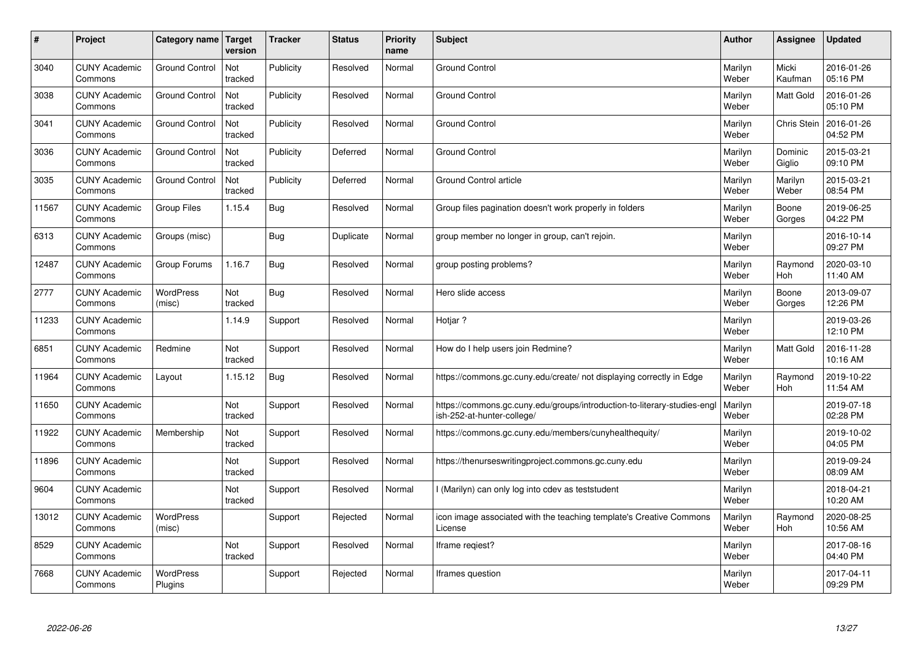| #     | Project                         | Category name               | Target<br>version | <b>Tracker</b> | <b>Status</b> | <b>Priority</b><br>name | <b>Subject</b>                                                                                        | <b>Author</b>    | Assignee          | <b>Updated</b>         |
|-------|---------------------------------|-----------------------------|-------------------|----------------|---------------|-------------------------|-------------------------------------------------------------------------------------------------------|------------------|-------------------|------------------------|
| 3040  | <b>CUNY Academic</b><br>Commons | <b>Ground Control</b>       | Not<br>tracked    | Publicity      | Resolved      | Normal                  | <b>Ground Control</b>                                                                                 | Marilyn<br>Weber | Micki<br>Kaufman  | 2016-01-26<br>05:16 PM |
| 3038  | <b>CUNY Academic</b><br>Commons | <b>Ground Control</b>       | Not<br>tracked    | Publicity      | Resolved      | Normal                  | <b>Ground Control</b>                                                                                 | Marilyn<br>Weber | Matt Gold         | 2016-01-26<br>05:10 PM |
| 3041  | <b>CUNY Academic</b><br>Commons | <b>Ground Control</b>       | Not<br>tracked    | Publicity      | Resolved      | Normal                  | <b>Ground Control</b>                                                                                 | Marilyn<br>Weber | Chris Stein       | 2016-01-26<br>04:52 PM |
| 3036  | <b>CUNY Academic</b><br>Commons | <b>Ground Control</b>       | Not<br>tracked    | Publicity      | Deferred      | Normal                  | <b>Ground Control</b>                                                                                 | Marilyn<br>Weber | Dominic<br>Giglio | 2015-03-21<br>09:10 PM |
| 3035  | <b>CUNY Academic</b><br>Commons | <b>Ground Control</b>       | Not<br>tracked    | Publicity      | Deferred      | Normal                  | <b>Ground Control article</b>                                                                         | Marilyn<br>Weber | Marilyn<br>Weber  | 2015-03-21<br>08:54 PM |
| 11567 | <b>CUNY Academic</b><br>Commons | <b>Group Files</b>          | 1.15.4            | Bug            | Resolved      | Normal                  | Group files pagination doesn't work properly in folders                                               | Marilyn<br>Weber | Boone<br>Gorges   | 2019-06-25<br>04:22 PM |
| 6313  | <b>CUNY Academic</b><br>Commons | Groups (misc)               |                   | <b>Bug</b>     | Duplicate     | Normal                  | group member no longer in group, can't rejoin.                                                        | Marilyn<br>Weber |                   | 2016-10-14<br>09:27 PM |
| 12487 | <b>CUNY Academic</b><br>Commons | Group Forums                | 1.16.7            | <b>Bug</b>     | Resolved      | Normal                  | group posting problems?                                                                               | Marilyn<br>Weber | Raymond<br>Hoh    | 2020-03-10<br>11:40 AM |
| 2777  | <b>CUNY Academic</b><br>Commons | <b>WordPress</b><br>(misc)  | Not<br>tracked    | <b>Bug</b>     | Resolved      | Normal                  | Hero slide access                                                                                     | Marilyn<br>Weber | Boone<br>Gorges   | 2013-09-07<br>12:26 PM |
| 11233 | <b>CUNY Academic</b><br>Commons |                             | 1.14.9            | Support        | Resolved      | Normal                  | Hotjar?                                                                                               | Marilyn<br>Weber |                   | 2019-03-26<br>12:10 PM |
| 6851  | <b>CUNY Academic</b><br>Commons | Redmine                     | Not<br>tracked    | Support        | Resolved      | Normal                  | How do I help users join Redmine?                                                                     | Marilyn<br>Weber | Matt Gold         | 2016-11-28<br>10:16 AM |
| 11964 | <b>CUNY Academic</b><br>Commons | Layout                      | 1.15.12           | <b>Bug</b>     | Resolved      | Normal                  | https://commons.gc.cuny.edu/create/ not displaying correctly in Edge                                  | Marilyn<br>Weber | Raymond<br>Hoh    | 2019-10-22<br>11:54 AM |
| 11650 | <b>CUNY Academic</b><br>Commons |                             | Not<br>tracked    | Support        | Resolved      | Normal                  | https://commons.gc.cuny.edu/groups/introduction-to-literary-studies-eng<br>ish-252-at-hunter-college/ | Marilyn<br>Weber |                   | 2019-07-18<br>02:28 PM |
| 11922 | <b>CUNY Academic</b><br>Commons | Membership                  | Not<br>tracked    | Support        | Resolved      | Normal                  | https://commons.gc.cuny.edu/members/cunyhealthequity/                                                 | Marilyn<br>Weber |                   | 2019-10-02<br>04:05 PM |
| 11896 | <b>CUNY Academic</b><br>Commons |                             | Not<br>tracked    | Support        | Resolved      | Normal                  | https://thenurseswritingproject.commons.gc.cuny.edu                                                   | Marilyn<br>Weber |                   | 2019-09-24<br>08:09 AM |
| 9604  | <b>CUNY Academic</b><br>Commons |                             | Not<br>tracked    | Support        | Resolved      | Normal                  | l (Marilyn) can only log into cdev as teststudent                                                     | Marilyn<br>Weber |                   | 2018-04-21<br>10:20 AM |
| 13012 | <b>CUNY Academic</b><br>Commons | WordPress<br>(misc)         |                   | Support        | Rejected      | Normal                  | icon image associated with the teaching template's Creative Commons<br>License                        | Marilyn<br>Weber | Raymond<br>Hoh    | 2020-08-25<br>10:56 AM |
| 8529  | <b>CUNY Academic</b><br>Commons |                             | Not<br>tracked    | Support        | Resolved      | Normal                  | Iframe regiest?                                                                                       | Marilyn<br>Weber |                   | 2017-08-16<br>04:40 PM |
| 7668  | <b>CUNY Academic</b><br>Commons | <b>WordPress</b><br>Plugins |                   | Support        | Rejected      | Normal                  | Iframes question                                                                                      | Marilyn<br>Weber |                   | 2017-04-11<br>09:29 PM |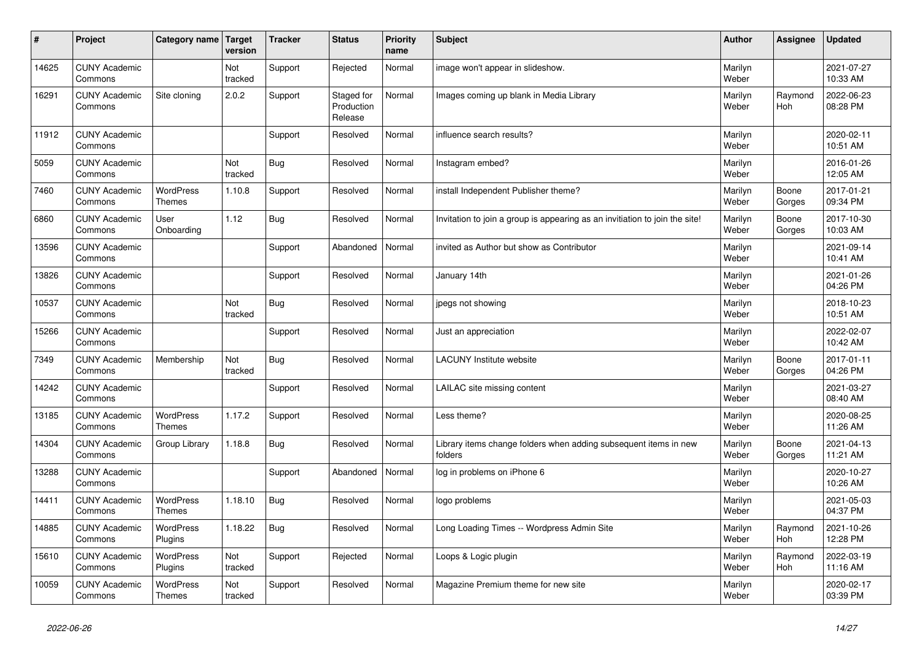| #     | Project                         | Category name   Target            | version        | <b>Tracker</b> | <b>Status</b>                       | <b>Priority</b><br>name | <b>Subject</b>                                                              | <b>Author</b>    | Assignee        | <b>Updated</b>         |
|-------|---------------------------------|-----------------------------------|----------------|----------------|-------------------------------------|-------------------------|-----------------------------------------------------------------------------|------------------|-----------------|------------------------|
| 14625 | <b>CUNY Academic</b><br>Commons |                                   | Not<br>tracked | Support        | Rejected                            | Normal                  | image won't appear in slideshow.                                            | Marilyn<br>Weber |                 | 2021-07-27<br>10:33 AM |
| 16291 | <b>CUNY Academic</b><br>Commons | Site cloning                      | 2.0.2          | Support        | Staged for<br>Production<br>Release | Normal                  | Images coming up blank in Media Library                                     | Marilyn<br>Weber | Raymond<br>Hoh  | 2022-06-23<br>08:28 PM |
| 11912 | <b>CUNY Academic</b><br>Commons |                                   |                | Support        | Resolved                            | Normal                  | influence search results?                                                   | Marilyn<br>Weber |                 | 2020-02-11<br>10:51 AM |
| 5059  | <b>CUNY Academic</b><br>Commons |                                   | Not<br>tracked | <b>Bug</b>     | Resolved                            | Normal                  | Instagram embed?                                                            | Marilyn<br>Weber |                 | 2016-01-26<br>12:05 AM |
| 7460  | <b>CUNY Academic</b><br>Commons | <b>WordPress</b><br><b>Themes</b> | 1.10.8         | Support        | Resolved                            | Normal                  | install Independent Publisher theme?                                        | Marilyn<br>Weber | Boone<br>Gorges | 2017-01-21<br>09:34 PM |
| 6860  | <b>CUNY Academic</b><br>Commons | User<br>Onboarding                | 1.12           | <b>Bug</b>     | Resolved                            | Normal                  | Invitation to join a group is appearing as an invitiation to join the site! | Marilyn<br>Weber | Boone<br>Gorges | 2017-10-30<br>10:03 AM |
| 13596 | <b>CUNY Academic</b><br>Commons |                                   |                | Support        | Abandoned                           | Normal                  | invited as Author but show as Contributor                                   | Marilyn<br>Weber |                 | 2021-09-14<br>10:41 AM |
| 13826 | <b>CUNY Academic</b><br>Commons |                                   |                | Support        | Resolved                            | Normal                  | January 14th                                                                | Marilyn<br>Weber |                 | 2021-01-26<br>04:26 PM |
| 10537 | <b>CUNY Academic</b><br>Commons |                                   | Not<br>tracked | <b>Bug</b>     | Resolved                            | Normal                  | jpegs not showing                                                           | Marilyn<br>Weber |                 | 2018-10-23<br>10:51 AM |
| 15266 | <b>CUNY Academic</b><br>Commons |                                   |                | Support        | Resolved                            | Normal                  | Just an appreciation                                                        | Marilyn<br>Weber |                 | 2022-02-07<br>10:42 AM |
| 7349  | <b>CUNY Academic</b><br>Commons | Membership                        | Not<br>tracked | <b>Bug</b>     | Resolved                            | Normal                  | <b>LACUNY Institute website</b>                                             | Marilyn<br>Weber | Boone<br>Gorges | 2017-01-11<br>04:26 PM |
| 14242 | <b>CUNY Academic</b><br>Commons |                                   |                | Support        | Resolved                            | Normal                  | LAILAC site missing content                                                 | Marilyn<br>Weber |                 | 2021-03-27<br>08:40 AM |
| 13185 | <b>CUNY Academic</b><br>Commons | <b>WordPress</b><br><b>Themes</b> | 1.17.2         | Support        | Resolved                            | Normal                  | Less theme?                                                                 | Marilyn<br>Weber |                 | 2020-08-25<br>11:26 AM |
| 14304 | <b>CUNY Academic</b><br>Commons | Group Library                     | 1.18.8         | <b>Bug</b>     | Resolved                            | Normal                  | Library items change folders when adding subsequent items in new<br>folders | Marilyn<br>Weber | Boone<br>Gorges | 2021-04-13<br>11:21 AM |
| 13288 | <b>CUNY Academic</b><br>Commons |                                   |                | Support        | Abandoned                           | Normal                  | log in problems on iPhone 6                                                 | Marilyn<br>Weber |                 | 2020-10-27<br>10:26 AM |
| 14411 | <b>CUNY Academic</b><br>Commons | <b>WordPress</b><br><b>Themes</b> | 1.18.10        | <b>Bug</b>     | Resolved                            | Normal                  | logo problems                                                               | Marilyn<br>Weber |                 | 2021-05-03<br>04:37 PM |
| 14885 | <b>CUNY Academic</b><br>Commons | WordPress<br>Plugins              | 1.18.22        | <b>Bug</b>     | Resolved                            | Normal                  | Long Loading Times -- Wordpress Admin Site                                  | Marilyn<br>Weber | Raymond<br>Hoh  | 2021-10-26<br>12:28 PM |
| 15610 | <b>CUNY Academic</b><br>Commons | WordPress<br>Plugins              | Not<br>tracked | Support        | Rejected                            | Normal                  | Loops & Logic plugin                                                        | Marilyn<br>Weber | Raymond<br>Hoh  | 2022-03-19<br>11:16 AM |
| 10059 | <b>CUNY Academic</b><br>Commons | <b>WordPress</b><br><b>Themes</b> | Not<br>tracked | Support        | Resolved                            | Normal                  | Magazine Premium theme for new site                                         | Marilyn<br>Weber |                 | 2020-02-17<br>03:39 PM |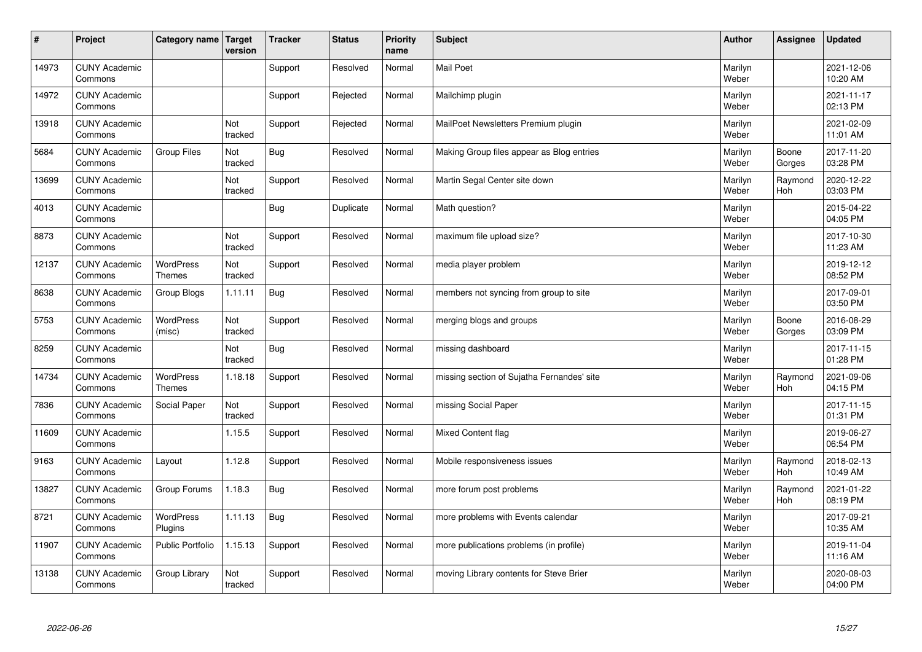| $\sharp$ | Project                         | Category name   Target     | version        | <b>Tracker</b> | <b>Status</b> | <b>Priority</b><br>name | <b>Subject</b>                             | <b>Author</b>    | Assignee        | <b>Updated</b>         |
|----------|---------------------------------|----------------------------|----------------|----------------|---------------|-------------------------|--------------------------------------------|------------------|-----------------|------------------------|
| 14973    | <b>CUNY Academic</b><br>Commons |                            |                | Support        | Resolved      | Normal                  | <b>Mail Poet</b>                           | Marilyn<br>Weber |                 | 2021-12-06<br>10:20 AM |
| 14972    | <b>CUNY Academic</b><br>Commons |                            |                | Support        | Rejected      | Normal                  | Mailchimp plugin                           | Marilyn<br>Weber |                 | 2021-11-17<br>02:13 PM |
| 13918    | <b>CUNY Academic</b><br>Commons |                            | Not<br>tracked | Support        | Rejected      | Normal                  | MailPoet Newsletters Premium plugin        | Marilyn<br>Weber |                 | 2021-02-09<br>11:01 AM |
| 5684     | <b>CUNY Academic</b><br>Commons | Group Files                | Not<br>tracked | Bug            | Resolved      | Normal                  | Making Group files appear as Blog entries  | Marilyn<br>Weber | Boone<br>Gorges | 2017-11-20<br>03:28 PM |
| 13699    | <b>CUNY Academic</b><br>Commons |                            | Not<br>tracked | Support        | Resolved      | Normal                  | Martin Segal Center site down              | Marilyn<br>Weber | Raymond<br>Hoh  | 2020-12-22<br>03:03 PM |
| 4013     | <b>CUNY Academic</b><br>Commons |                            |                | <b>Bug</b>     | Duplicate     | Normal                  | Math question?                             | Marilyn<br>Weber |                 | 2015-04-22<br>04:05 PM |
| 8873     | <b>CUNY Academic</b><br>Commons |                            | Not<br>tracked | Support        | Resolved      | Normal                  | maximum file upload size?                  | Marilyn<br>Weber |                 | 2017-10-30<br>11:23 AM |
| 12137    | <b>CUNY Academic</b><br>Commons | WordPress<br><b>Themes</b> | Not<br>tracked | Support        | Resolved      | Normal                  | media player problem                       | Marilyn<br>Weber |                 | 2019-12-12<br>08:52 PM |
| 8638     | <b>CUNY Academic</b><br>Commons | Group Blogs                | 1.11.11        | <b>Bug</b>     | Resolved      | Normal                  | members not syncing from group to site     | Marilyn<br>Weber |                 | 2017-09-01<br>03:50 PM |
| 5753     | <b>CUNY Academic</b><br>Commons | <b>WordPress</b><br>(misc) | Not<br>tracked | Support        | Resolved      | Normal                  | merging blogs and groups                   | Marilyn<br>Weber | Boone<br>Gorges | 2016-08-29<br>03:09 PM |
| 8259     | <b>CUNY Academic</b><br>Commons |                            | Not<br>tracked | Bug            | Resolved      | Normal                  | missing dashboard                          | Marilyn<br>Weber |                 | 2017-11-15<br>01:28 PM |
| 14734    | <b>CUNY Academic</b><br>Commons | WordPress<br><b>Themes</b> | 1.18.18        | Support        | Resolved      | Normal                  | missing section of Sujatha Fernandes' site | Marilyn<br>Weber | Raymond<br>Hoh  | 2021-09-06<br>04:15 PM |
| 7836     | <b>CUNY Academic</b><br>Commons | Social Paper               | Not<br>tracked | Support        | Resolved      | Normal                  | missing Social Paper                       | Marilyn<br>Weber |                 | 2017-11-15<br>01:31 PM |
| 11609    | <b>CUNY Academic</b><br>Commons |                            | 1.15.5         | Support        | Resolved      | Normal                  | Mixed Content flag                         | Marilyn<br>Weber |                 | 2019-06-27<br>06:54 PM |
| 9163     | <b>CUNY Academic</b><br>Commons | Layout                     | 1.12.8         | Support        | Resolved      | Normal                  | Mobile responsiveness issues               | Marilyn<br>Weber | Raymond<br>Hoh  | 2018-02-13<br>10:49 AM |
| 13827    | <b>CUNY Academic</b><br>Commons | Group Forums               | 1.18.3         | Bug            | Resolved      | Normal                  | more forum post problems                   | Marilyn<br>Weber | Raymond<br>Hoh  | 2021-01-22<br>08:19 PM |
| 8721     | <b>CUNY Academic</b><br>Commons | WordPress<br>Plugins       | 1.11.13        | Bug            | Resolved      | Normal                  | more problems with Events calendar         | Marilyn<br>Weber |                 | 2017-09-21<br>10:35 AM |
| 11907    | <b>CUNY Academic</b><br>Commons | Public Portfolio           | 1.15.13        | Support        | Resolved      | Normal                  | more publications problems (in profile)    | Marilyn<br>Weber |                 | 2019-11-04<br>11:16 AM |
| 13138    | <b>CUNY Academic</b><br>Commons | Group Library              | Not<br>tracked | Support        | Resolved      | Normal                  | moving Library contents for Steve Brier    | Marilyn<br>Weber |                 | 2020-08-03<br>04:00 PM |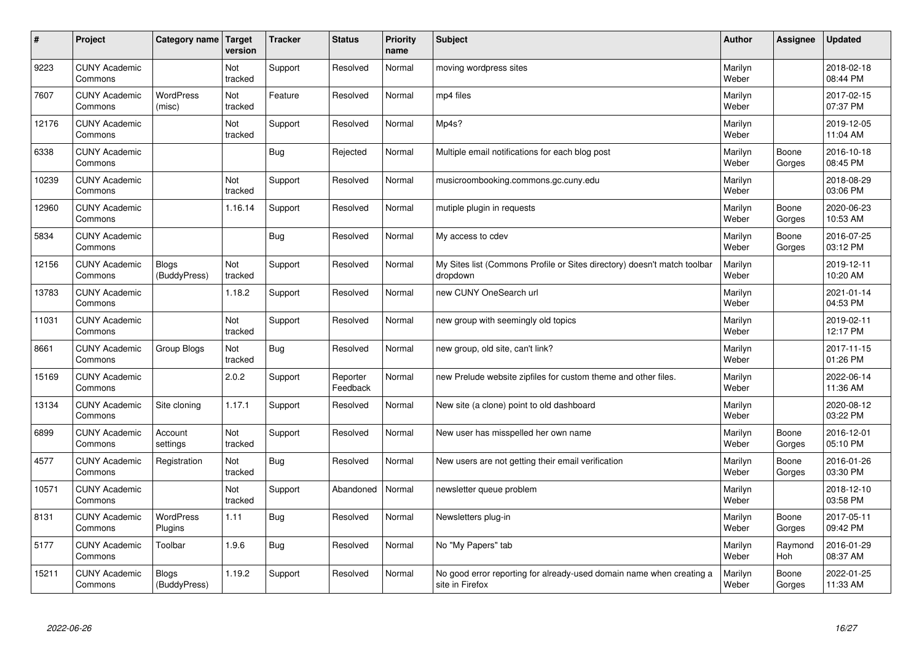| #     | Project                         | Category name              | Target<br>version | <b>Tracker</b> | <b>Status</b>        | <b>Priority</b><br>name | <b>Subject</b>                                                                          | <b>Author</b>    | Assignee        | Updated                |
|-------|---------------------------------|----------------------------|-------------------|----------------|----------------------|-------------------------|-----------------------------------------------------------------------------------------|------------------|-----------------|------------------------|
| 9223  | <b>CUNY Academic</b><br>Commons |                            | Not<br>tracked    | Support        | Resolved             | Normal                  | moving wordpress sites                                                                  | Marilyn<br>Weber |                 | 2018-02-18<br>08:44 PM |
| 7607  | <b>CUNY Academic</b><br>Commons | <b>WordPress</b><br>(misc) | Not<br>tracked    | Feature        | Resolved             | Normal                  | mp4 files                                                                               | Marilyn<br>Weber |                 | 2017-02-15<br>07:37 PM |
| 12176 | <b>CUNY Academic</b><br>Commons |                            | Not<br>tracked    | Support        | Resolved             | Normal                  | Mp4s?                                                                                   | Marilyn<br>Weber |                 | 2019-12-05<br>11:04 AM |
| 6338  | <b>CUNY Academic</b><br>Commons |                            |                   | <b>Bug</b>     | Rejected             | Normal                  | Multiple email notifications for each blog post                                         | Marilyn<br>Weber | Boone<br>Gorges | 2016-10-18<br>08:45 PM |
| 10239 | <b>CUNY Academic</b><br>Commons |                            | Not<br>tracked    | Support        | Resolved             | Normal                  | musicroombooking.commons.gc.cuny.edu                                                    | Marilyn<br>Weber |                 | 2018-08-29<br>03:06 PM |
| 12960 | <b>CUNY Academic</b><br>Commons |                            | 1.16.14           | Support        | Resolved             | Normal                  | mutiple plugin in requests                                                              | Marilyn<br>Weber | Boone<br>Gorges | 2020-06-23<br>10:53 AM |
| 5834  | <b>CUNY Academic</b><br>Commons |                            |                   | Bug            | Resolved             | Normal                  | My access to cdev                                                                       | Marilyn<br>Weber | Boone<br>Gorges | 2016-07-25<br>03:12 PM |
| 12156 | <b>CUNY Academic</b><br>Commons | Blogs<br>(BuddyPress)      | Not<br>tracked    | Support        | Resolved             | Normal                  | My Sites list (Commons Profile or Sites directory) doesn't match toolbar<br>dropdown    | Marilyn<br>Weber |                 | 2019-12-11<br>10:20 AM |
| 13783 | <b>CUNY Academic</b><br>Commons |                            | 1.18.2            | Support        | Resolved             | Normal                  | new CUNY OneSearch url                                                                  | Marilyn<br>Weber |                 | 2021-01-14<br>04:53 PM |
| 11031 | <b>CUNY Academic</b><br>Commons |                            | Not<br>tracked    | Support        | Resolved             | Normal                  | new group with seemingly old topics                                                     | Marilyn<br>Weber |                 | 2019-02-11<br>12:17 PM |
| 8661  | <b>CUNY Academic</b><br>Commons | Group Blogs                | Not<br>tracked    | <b>Bug</b>     | Resolved             | Normal                  | new group, old site, can't link?                                                        | Marilyn<br>Weber |                 | 2017-11-15<br>01:26 PM |
| 15169 | <b>CUNY Academic</b><br>Commons |                            | 2.0.2             | Support        | Reporter<br>Feedback | Normal                  | new Prelude website zipfiles for custom theme and other files.                          | Marilyn<br>Weber |                 | 2022-06-14<br>11:36 AM |
| 13134 | <b>CUNY Academic</b><br>Commons | Site cloning               | 1.17.1            | Support        | Resolved             | Normal                  | New site (a clone) point to old dashboard                                               | Marilyn<br>Weber |                 | 2020-08-12<br>03:22 PM |
| 6899  | <b>CUNY Academic</b><br>Commons | Account<br>settings        | Not<br>tracked    | Support        | Resolved             | Normal                  | New user has misspelled her own name                                                    | Marilyn<br>Weber | Boone<br>Gorges | 2016-12-01<br>05:10 PM |
| 4577  | <b>CUNY Academic</b><br>Commons | Registration               | Not<br>tracked    | <b>Bug</b>     | Resolved             | Normal                  | New users are not getting their email verification                                      | Marilyn<br>Weber | Boone<br>Gorges | 2016-01-26<br>03:30 PM |
| 10571 | <b>CUNY Academic</b><br>Commons |                            | Not<br>tracked    | Support        | Abandoned            | Normal                  | newsletter queue problem                                                                | Marilyn<br>Weber |                 | 2018-12-10<br>03:58 PM |
| 8131  | <b>CUNY Academic</b><br>Commons | WordPress<br>Plugins       | 1.11              | <b>Bug</b>     | Resolved             | Normal                  | Newsletters plug-in                                                                     | Marilyn<br>Weber | Boone<br>Gorges | 2017-05-11<br>09:42 PM |
| 5177  | <b>CUNY Academic</b><br>Commons | Toolbar                    | 1.9.6             | <b>Bug</b>     | Resolved             | Normal                  | No "My Papers" tab                                                                      | Marilyn<br>Weber | Raymond<br>Hoh  | 2016-01-29<br>08:37 AM |
| 15211 | <b>CUNY Academic</b><br>Commons | Blogs<br>(BuddyPress)      | 1.19.2            | Support        | Resolved             | Normal                  | No good error reporting for already-used domain name when creating a<br>site in Firefox | Marilyn<br>Weber | Boone<br>Gorges | 2022-01-25<br>11:33 AM |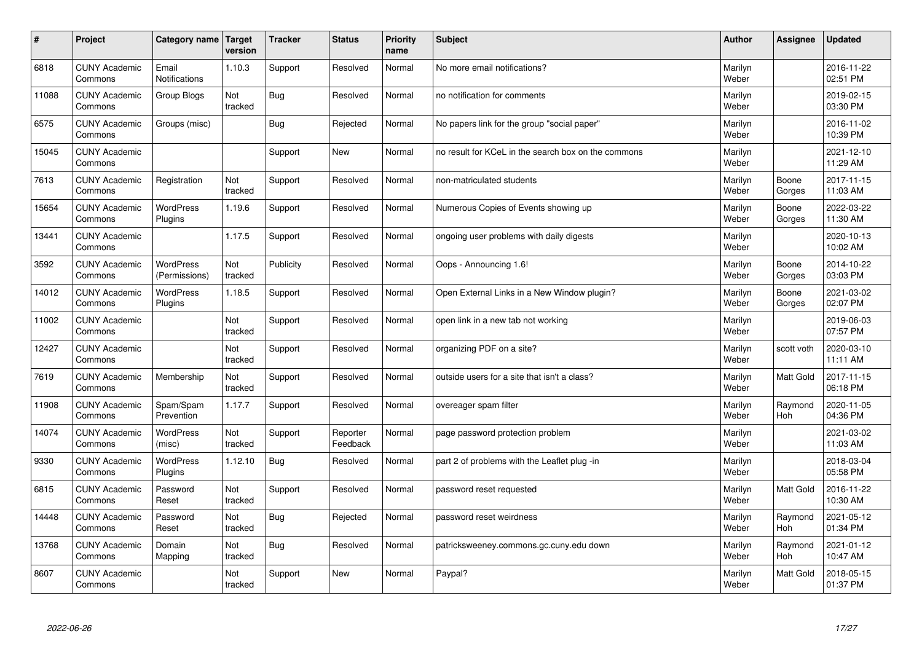| #     | Project                         | Category name   Target            | version        | <b>Tracker</b> | <b>Status</b>        | <b>Priority</b><br>name | <b>Subject</b>                                      | <b>Author</b>    | Assignee         | <b>Updated</b>         |
|-------|---------------------------------|-----------------------------------|----------------|----------------|----------------------|-------------------------|-----------------------------------------------------|------------------|------------------|------------------------|
| 6818  | <b>CUNY Academic</b><br>Commons | Email<br><b>Notifications</b>     | 1.10.3         | Support        | Resolved             | Normal                  | No more email notifications?                        | Marilyn<br>Weber |                  | 2016-11-22<br>02:51 PM |
| 11088 | <b>CUNY Academic</b><br>Commons | Group Blogs                       | Not<br>tracked | Bug            | Resolved             | Normal                  | no notification for comments                        | Marilyn<br>Weber |                  | 2019-02-15<br>03:30 PM |
| 6575  | <b>CUNY Academic</b><br>Commons | Groups (misc)                     |                | Bug            | Rejected             | Normal                  | No papers link for the group "social paper"         | Marilyn<br>Weber |                  | 2016-11-02<br>10:39 PM |
| 15045 | <b>CUNY Academic</b><br>Commons |                                   |                | Support        | <b>New</b>           | Normal                  | no result for KCeL in the search box on the commons | Marilyn<br>Weber |                  | 2021-12-10<br>11:29 AM |
| 7613  | <b>CUNY Academic</b><br>Commons | Registration                      | Not<br>tracked | Support        | Resolved             | Normal                  | non-matriculated students                           | Marilyn<br>Weber | Boone<br>Gorges  | 2017-11-15<br>11:03 AM |
| 15654 | <b>CUNY Academic</b><br>Commons | WordPress<br>Plugins              | 1.19.6         | Support        | Resolved             | Normal                  | Numerous Copies of Events showing up                | Marilyn<br>Weber | Boone<br>Gorges  | 2022-03-22<br>11:30 AM |
| 13441 | <b>CUNY Academic</b><br>Commons |                                   | 1.17.5         | Support        | Resolved             | Normal                  | ongoing user problems with daily digests            | Marilyn<br>Weber |                  | 2020-10-13<br>10:02 AM |
| 3592  | <b>CUNY Academic</b><br>Commons | <b>WordPress</b><br>(Permissions) | Not<br>tracked | Publicity      | Resolved             | Normal                  | Oops - Announcing 1.6!                              | Marilyn<br>Weber | Boone<br>Gorges  | 2014-10-22<br>03:03 PM |
| 14012 | <b>CUNY Academic</b><br>Commons | <b>WordPress</b><br>Plugins       | 1.18.5         | Support        | Resolved             | Normal                  | Open External Links in a New Window plugin?         | Marilyn<br>Weber | Boone<br>Gorges  | 2021-03-02<br>02:07 PM |
| 11002 | <b>CUNY Academic</b><br>Commons |                                   | Not<br>tracked | Support        | Resolved             | Normal                  | open link in a new tab not working                  | Marilyn<br>Weber |                  | 2019-06-03<br>07:57 PM |
| 12427 | <b>CUNY Academic</b><br>Commons |                                   | Not<br>tracked | Support        | Resolved             | Normal                  | organizing PDF on a site?                           | Marilyn<br>Weber | scott voth       | 2020-03-10<br>11:11 AM |
| 7619  | <b>CUNY Academic</b><br>Commons | Membership                        | Not<br>tracked | Support        | Resolved             | Normal                  | outside users for a site that isn't a class?        | Marilyn<br>Weber | Matt Gold        | 2017-11-15<br>06:18 PM |
| 11908 | <b>CUNY Academic</b><br>Commons | Spam/Spam<br>Prevention           | 1.17.7         | Support        | Resolved             | Normal                  | overeager spam filter                               | Marilyn<br>Weber | Raymond<br>Hoh   | 2020-11-05<br>04:36 PM |
| 14074 | <b>CUNY Academic</b><br>Commons | WordPress<br>(misc)               | Not<br>tracked | Support        | Reporter<br>Feedback | Normal                  | page password protection problem                    | Marilyn<br>Weber |                  | 2021-03-02<br>11:03 AM |
| 9330  | <b>CUNY Academic</b><br>Commons | <b>WordPress</b><br>Plugins       | 1.12.10        | <b>Bug</b>     | Resolved             | Normal                  | part 2 of problems with the Leaflet plug -in        | Marilyn<br>Weber |                  | 2018-03-04<br>05:58 PM |
| 6815  | <b>CUNY Academic</b><br>Commons | Password<br>Reset                 | Not<br>tracked | Support        | Resolved             | Normal                  | password reset requested                            | Marilyn<br>Weber | <b>Matt Gold</b> | 2016-11-22<br>10:30 AM |
| 14448 | <b>CUNY Academic</b><br>Commons | Password<br>Reset                 | Not<br>tracked | Bug            | Rejected             | Normal                  | password reset weirdness                            | Marilyn<br>Weber | Raymond<br>Hoh   | 2021-05-12<br>01:34 PM |
| 13768 | <b>CUNY Academic</b><br>Commons | Domain<br>Mapping                 | Not<br>tracked | <b>Bug</b>     | Resolved             | Normal                  | patricksweeney.commons.gc.cuny.edu down             | Marilyn<br>Weber | Raymond<br>Hoh   | 2021-01-12<br>10:47 AM |
| 8607  | <b>CUNY Academic</b><br>Commons |                                   | Not<br>tracked | Support        | <b>New</b>           | Normal                  | Paypal?                                             | Marilyn<br>Weber | <b>Matt Gold</b> | 2018-05-15<br>01:37 PM |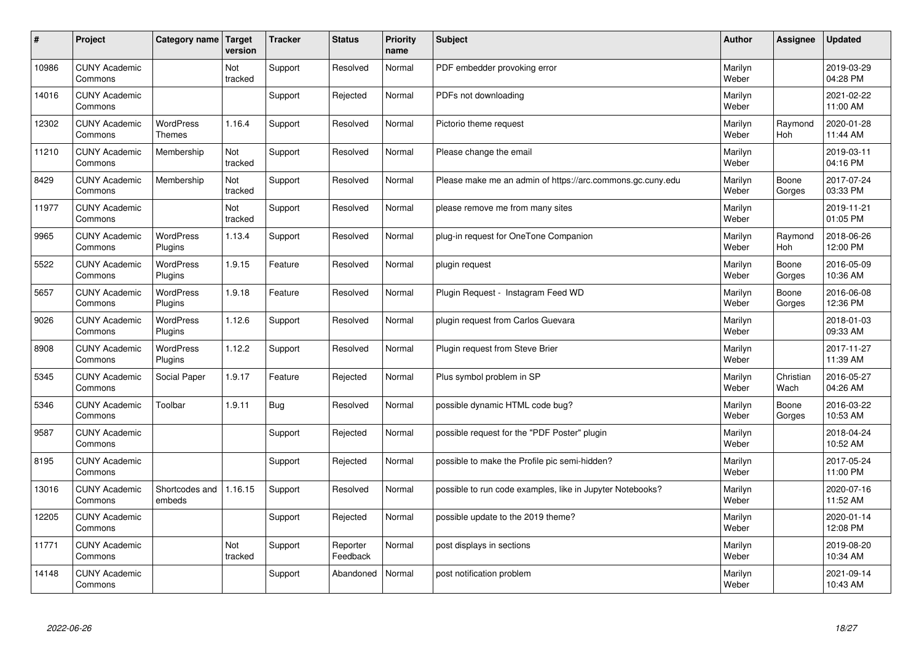| $\sharp$ | Project                         | Category name   Target            | version        | <b>Tracker</b> | <b>Status</b>        | <b>Priority</b><br>name | <b>Subject</b>                                             | <b>Author</b>    | Assignee          | <b>Updated</b>         |
|----------|---------------------------------|-----------------------------------|----------------|----------------|----------------------|-------------------------|------------------------------------------------------------|------------------|-------------------|------------------------|
| 10986    | <b>CUNY Academic</b><br>Commons |                                   | Not<br>tracked | Support        | Resolved             | Normal                  | PDF embedder provoking error                               | Marilyn<br>Weber |                   | 2019-03-29<br>04:28 PM |
| 14016    | <b>CUNY Academic</b><br>Commons |                                   |                | Support        | Rejected             | Normal                  | PDFs not downloading                                       | Marilyn<br>Weber |                   | 2021-02-22<br>11:00 AM |
| 12302    | <b>CUNY Academic</b><br>Commons | <b>WordPress</b><br><b>Themes</b> | 1.16.4         | Support        | Resolved             | Normal                  | Pictorio theme request                                     | Marilyn<br>Weber | Raymond<br>Hoh    | 2020-01-28<br>11:44 AM |
| 11210    | <b>CUNY Academic</b><br>Commons | Membership                        | Not<br>tracked | Support        | Resolved             | Normal                  | Please change the email                                    | Marilyn<br>Weber |                   | 2019-03-11<br>04:16 PM |
| 8429     | <b>CUNY Academic</b><br>Commons | Membership                        | Not<br>tracked | Support        | Resolved             | Normal                  | Please make me an admin of https://arc.commons.gc.cuny.edu | Marilyn<br>Weber | Boone<br>Gorges   | 2017-07-24<br>03:33 PM |
| 11977    | <b>CUNY Academic</b><br>Commons |                                   | Not<br>tracked | Support        | Resolved             | Normal                  | please remove me from many sites                           | Marilyn<br>Weber |                   | 2019-11-21<br>01:05 PM |
| 9965     | <b>CUNY Academic</b><br>Commons | <b>WordPress</b><br>Plugins       | 1.13.4         | Support        | Resolved             | Normal                  | plug-in request for OneTone Companion                      | Marilyn<br>Weber | Raymond<br>Hoh    | 2018-06-26<br>12:00 PM |
| 5522     | <b>CUNY Academic</b><br>Commons | WordPress<br>Plugins              | 1.9.15         | Feature        | Resolved             | Normal                  | plugin request                                             | Marilyn<br>Weber | Boone<br>Gorges   | 2016-05-09<br>10:36 AM |
| 5657     | <b>CUNY Academic</b><br>Commons | WordPress<br>Plugins              | 1.9.18         | Feature        | Resolved             | Normal                  | Plugin Request - Instagram Feed WD                         | Marilyn<br>Weber | Boone<br>Gorges   | 2016-06-08<br>12:36 PM |
| 9026     | <b>CUNY Academic</b><br>Commons | WordPress<br>Plugins              | 1.12.6         | Support        | Resolved             | Normal                  | plugin request from Carlos Guevara                         | Marilyn<br>Weber |                   | 2018-01-03<br>09:33 AM |
| 8908     | <b>CUNY Academic</b><br>Commons | <b>WordPress</b><br>Plugins       | 1.12.2         | Support        | Resolved             | Normal                  | Plugin request from Steve Brier                            | Marilyn<br>Weber |                   | 2017-11-27<br>11:39 AM |
| 5345     | <b>CUNY Academic</b><br>Commons | Social Paper                      | 1.9.17         | Feature        | Rejected             | Normal                  | Plus symbol problem in SP                                  | Marilyn<br>Weber | Christian<br>Wach | 2016-05-27<br>04:26 AM |
| 5346     | <b>CUNY Academic</b><br>Commons | Toolbar                           | 1.9.11         | Bug            | Resolved             | Normal                  | possible dynamic HTML code bug?                            | Marilyn<br>Weber | Boone<br>Gorges   | 2016-03-22<br>10:53 AM |
| 9587     | <b>CUNY Academic</b><br>Commons |                                   |                | Support        | Rejected             | Normal                  | possible request for the "PDF Poster" plugin               | Marilyn<br>Weber |                   | 2018-04-24<br>10:52 AM |
| 8195     | <b>CUNY Academic</b><br>Commons |                                   |                | Support        | Rejected             | Normal                  | possible to make the Profile pic semi-hidden?              | Marilyn<br>Weber |                   | 2017-05-24<br>11:00 PM |
| 13016    | <b>CUNY Academic</b><br>Commons | Shortcodes and<br>embeds          | 1.16.15        | Support        | Resolved             | Normal                  | possible to run code examples, like in Jupyter Notebooks?  | Marilyn<br>Weber |                   | 2020-07-16<br>11:52 AM |
| 12205    | <b>CUNY Academic</b><br>Commons |                                   |                | Support        | Rejected             | Normal                  | possible update to the 2019 theme?                         | Marilyn<br>Weber |                   | 2020-01-14<br>12:08 PM |
| 11771    | <b>CUNY Academic</b><br>Commons |                                   | Not<br>tracked | Support        | Reporter<br>Feedback | Normal                  | post displays in sections                                  | Marilyn<br>Weber |                   | 2019-08-20<br>10:34 AM |
| 14148    | <b>CUNY Academic</b><br>Commons |                                   |                | Support        | Abandoned            | Normal                  | post notification problem                                  | Marilyn<br>Weber |                   | 2021-09-14<br>10:43 AM |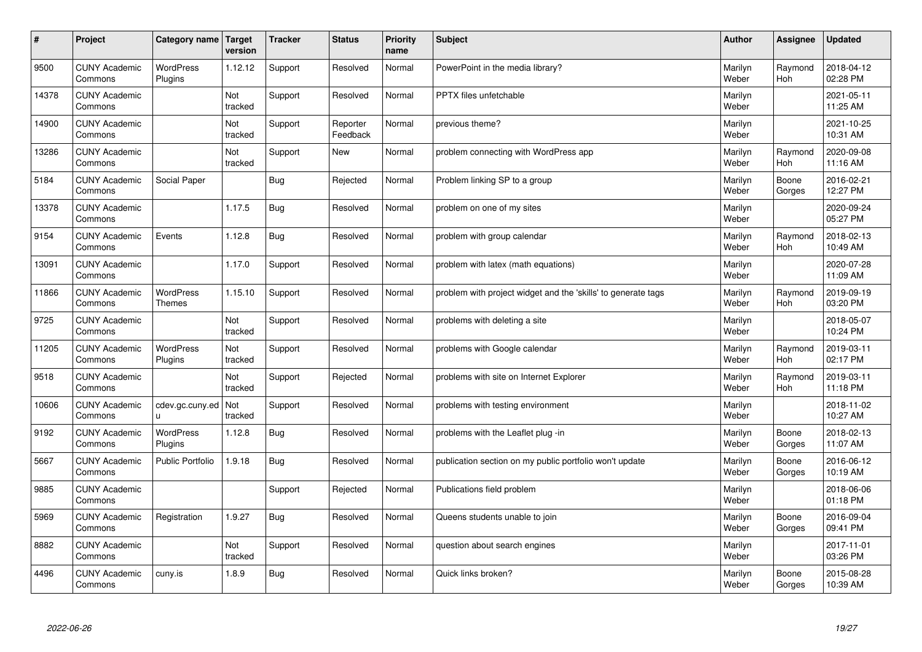| $\sharp$ | Project                         | Category name               | Target<br>version | <b>Tracker</b> | <b>Status</b>        | <b>Priority</b><br>name | <b>Subject</b>                                                | <b>Author</b>    | Assignee              | Updated                |
|----------|---------------------------------|-----------------------------|-------------------|----------------|----------------------|-------------------------|---------------------------------------------------------------|------------------|-----------------------|------------------------|
| 9500     | <b>CUNY Academic</b><br>Commons | <b>WordPress</b><br>Plugins | 1.12.12           | Support        | Resolved             | Normal                  | PowerPoint in the media library?                              | Marilyn<br>Weber | Raymond<br><b>Hoh</b> | 2018-04-12<br>02:28 PM |
| 14378    | <b>CUNY Academic</b><br>Commons |                             | Not<br>tracked    | Support        | Resolved             | Normal                  | <b>PPTX</b> files unfetchable                                 | Marilyn<br>Weber |                       | 2021-05-11<br>11:25 AM |
| 14900    | <b>CUNY Academic</b><br>Commons |                             | Not<br>tracked    | Support        | Reporter<br>Feedback | Normal                  | previous theme?                                               | Marilyn<br>Weber |                       | 2021-10-25<br>10:31 AM |
| 13286    | <b>CUNY Academic</b><br>Commons |                             | Not<br>tracked    | Support        | <b>New</b>           | Normal                  | problem connecting with WordPress app                         | Marilyn<br>Weber | Raymond<br>Hoh        | 2020-09-08<br>11:16 AM |
| 5184     | <b>CUNY Academic</b><br>Commons | Social Paper                |                   | Bug            | Rejected             | Normal                  | Problem linking SP to a group                                 | Marilyn<br>Weber | Boone<br>Gorges       | 2016-02-21<br>12:27 PM |
| 13378    | <b>CUNY Academic</b><br>Commons |                             | 1.17.5            | Bug            | Resolved             | Normal                  | problem on one of my sites                                    | Marilyn<br>Weber |                       | 2020-09-24<br>05:27 PM |
| 9154     | <b>CUNY Academic</b><br>Commons | Events                      | 1.12.8            | Bug            | Resolved             | Normal                  | problem with group calendar                                   | Marilyn<br>Weber | Raymond<br><b>Hoh</b> | 2018-02-13<br>10:49 AM |
| 13091    | <b>CUNY Academic</b><br>Commons |                             | 1.17.0            | Support        | Resolved             | Normal                  | problem with latex (math equations)                           | Marilyn<br>Weber |                       | 2020-07-28<br>11:09 AM |
| 11866    | <b>CUNY Academic</b><br>Commons | WordPress<br><b>Themes</b>  | 1.15.10           | Support        | Resolved             | Normal                  | problem with project widget and the 'skills' to generate tags | Marilyn<br>Weber | Raymond<br>Hoh        | 2019-09-19<br>03:20 PM |
| 9725     | <b>CUNY Academic</b><br>Commons |                             | Not<br>tracked    | Support        | Resolved             | Normal                  | problems with deleting a site                                 | Marilyn<br>Weber |                       | 2018-05-07<br>10:24 PM |
| 11205    | <b>CUNY Academic</b><br>Commons | <b>WordPress</b><br>Plugins | Not<br>tracked    | Support        | Resolved             | Normal                  | problems with Google calendar                                 | Marilyn<br>Weber | Raymond<br>Hoh        | 2019-03-11<br>02:17 PM |
| 9518     | <b>CUNY Academic</b><br>Commons |                             | Not<br>tracked    | Support        | Rejected             | Normal                  | problems with site on Internet Explorer                       | Marilyn<br>Weber | Raymond<br>Hoh        | 2019-03-11<br>11:18 PM |
| 10606    | <b>CUNY Academic</b><br>Commons | cdev.gc.cuny.ed<br>u.       | Not<br>tracked    | Support        | Resolved             | Normal                  | problems with testing environment                             | Marilyn<br>Weber |                       | 2018-11-02<br>10:27 AM |
| 9192     | <b>CUNY Academic</b><br>Commons | WordPress<br>Plugins        | 1.12.8            | <b>Bug</b>     | Resolved             | Normal                  | problems with the Leaflet plug -in                            | Marilyn<br>Weber | Boone<br>Gorges       | 2018-02-13<br>11:07 AM |
| 5667     | <b>CUNY Academic</b><br>Commons | <b>Public Portfolio</b>     | 1.9.18            | Bug            | Resolved             | Normal                  | publication section on my public portfolio won't update       | Marilyn<br>Weber | Boone<br>Gorges       | 2016-06-12<br>10:19 AM |
| 9885     | <b>CUNY Academic</b><br>Commons |                             |                   | Support        | Rejected             | Normal                  | Publications field problem                                    | Marilyn<br>Weber |                       | 2018-06-06<br>01:18 PM |
| 5969     | <b>CUNY Academic</b><br>Commons | Registration                | 1.9.27            | Bug            | Resolved             | Normal                  | Queens students unable to join                                | Marilyn<br>Weber | Boone<br>Gorges       | 2016-09-04<br>09:41 PM |
| 8882     | <b>CUNY Academic</b><br>Commons |                             | Not<br>tracked    | Support        | Resolved             | Normal                  | question about search engines                                 | Marilyn<br>Weber |                       | 2017-11-01<br>03:26 PM |
| 4496     | <b>CUNY Academic</b><br>Commons | cuny.is                     | 1.8.9             | <b>Bug</b>     | Resolved             | Normal                  | Quick links broken?                                           | Marilyn<br>Weber | Boone<br>Gorges       | 2015-08-28<br>10:39 AM |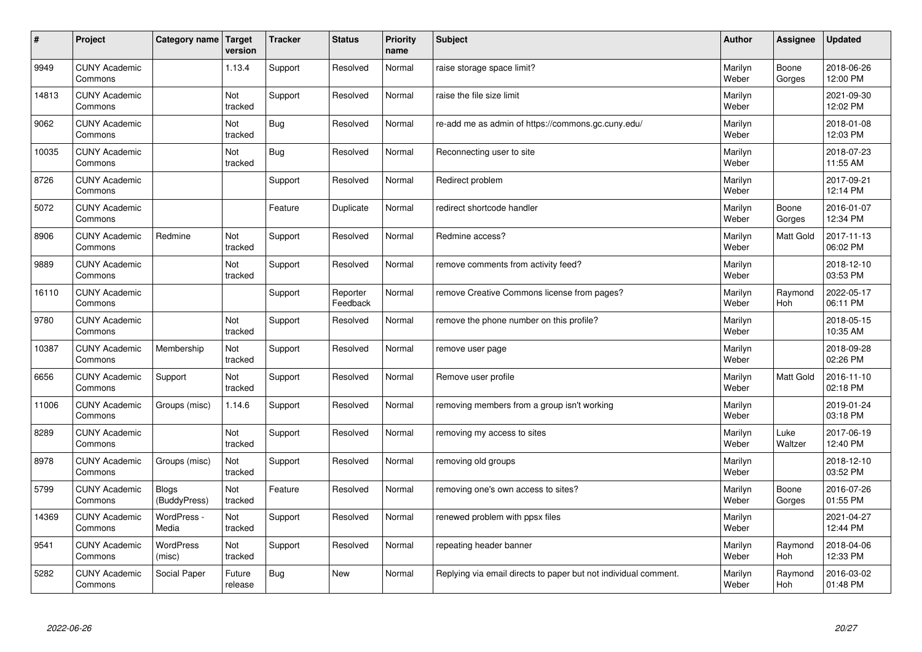| $\sharp$ | Project                         | Category name                | Target<br>version | <b>Tracker</b> | <b>Status</b>        | <b>Priority</b><br>name | <b>Subject</b>                                                  | <b>Author</b>    | Assignee        | Updated                |
|----------|---------------------------------|------------------------------|-------------------|----------------|----------------------|-------------------------|-----------------------------------------------------------------|------------------|-----------------|------------------------|
| 9949     | <b>CUNY Academic</b><br>Commons |                              | 1.13.4            | Support        | Resolved             | Normal                  | raise storage space limit?                                      | Marilyn<br>Weber | Boone<br>Gorges | 2018-06-26<br>12:00 PM |
| 14813    | <b>CUNY Academic</b><br>Commons |                              | Not<br>tracked    | Support        | Resolved             | Normal                  | raise the file size limit                                       | Marilyn<br>Weber |                 | 2021-09-30<br>12:02 PM |
| 9062     | <b>CUNY Academic</b><br>Commons |                              | Not<br>tracked    | <b>Bug</b>     | Resolved             | Normal                  | re-add me as admin of https://commons.gc.cuny.edu/              | Marilyn<br>Weber |                 | 2018-01-08<br>12:03 PM |
| 10035    | <b>CUNY Academic</b><br>Commons |                              | Not<br>tracked    | <b>Bug</b>     | Resolved             | Normal                  | Reconnecting user to site                                       | Marilyn<br>Weber |                 | 2018-07-23<br>11:55 AM |
| 8726     | <b>CUNY Academic</b><br>Commons |                              |                   | Support        | Resolved             | Normal                  | Redirect problem                                                | Marilyn<br>Weber |                 | 2017-09-21<br>12:14 PM |
| 5072     | <b>CUNY Academic</b><br>Commons |                              |                   | Feature        | Duplicate            | Normal                  | redirect shortcode handler                                      | Marilyn<br>Weber | Boone<br>Gorges | 2016-01-07<br>12:34 PM |
| 8906     | <b>CUNY Academic</b><br>Commons | Redmine                      | Not<br>tracked    | Support        | Resolved             | Normal                  | Redmine access?                                                 | Marilyn<br>Weber | Matt Gold       | 2017-11-13<br>06:02 PM |
| 9889     | <b>CUNY Academic</b><br>Commons |                              | Not<br>tracked    | Support        | Resolved             | Normal                  | remove comments from activity feed?                             | Marilyn<br>Weber |                 | 2018-12-10<br>03:53 PM |
| 16110    | <b>CUNY Academic</b><br>Commons |                              |                   | Support        | Reporter<br>Feedback | Normal                  | remove Creative Commons license from pages?                     | Marilyn<br>Weber | Raymond<br>Hoh  | 2022-05-17<br>06:11 PM |
| 9780     | <b>CUNY Academic</b><br>Commons |                              | Not<br>tracked    | Support        | Resolved             | Normal                  | remove the phone number on this profile?                        | Marilyn<br>Weber |                 | 2018-05-15<br>10:35 AM |
| 10387    | <b>CUNY Academic</b><br>Commons | Membership                   | Not<br>tracked    | Support        | Resolved             | Normal                  | remove user page                                                | Marilyn<br>Weber |                 | 2018-09-28<br>02:26 PM |
| 6656     | <b>CUNY Academic</b><br>Commons | Support                      | Not<br>tracked    | Support        | Resolved             | Normal                  | Remove user profile                                             | Marilyn<br>Weber | Matt Gold       | 2016-11-10<br>02:18 PM |
| 11006    | <b>CUNY Academic</b><br>Commons | Groups (misc)                | 1.14.6            | Support        | Resolved             | Normal                  | removing members from a group isn't working                     | Marilyn<br>Weber |                 | 2019-01-24<br>03:18 PM |
| 8289     | <b>CUNY Academic</b><br>Commons |                              | Not<br>tracked    | Support        | Resolved             | Normal                  | removing my access to sites                                     | Marilyn<br>Weber | Luke<br>Waltzer | 2017-06-19<br>12:40 PM |
| 8978     | <b>CUNY Academic</b><br>Commons | Groups (misc)                | Not<br>tracked    | Support        | Resolved             | Normal                  | removing old groups                                             | Marilyn<br>Weber |                 | 2018-12-10<br>03:52 PM |
| 5799     | <b>CUNY Academic</b><br>Commons | <b>Blogs</b><br>(BuddyPress) | Not<br>tracked    | Feature        | Resolved             | Normal                  | removing one's own access to sites?                             | Marilyn<br>Weber | Boone<br>Gorges | 2016-07-26<br>01:55 PM |
| 14369    | <b>CUNY Academic</b><br>Commons | WordPress -<br>Media         | Not<br>tracked    | Support        | Resolved             | Normal                  | renewed problem with ppsx files                                 | Marilyn<br>Weber |                 | 2021-04-27<br>12:44 PM |
| 9541     | <b>CUNY Academic</b><br>Commons | <b>WordPress</b><br>(misc)   | Not<br>tracked    | Support        | Resolved             | Normal                  | repeating header banner                                         | Marilyn<br>Weber | Raymond<br>Hoh  | 2018-04-06<br>12:33 PM |
| 5282     | <b>CUNY Academic</b><br>Commons | Social Paper                 | Future<br>release | Bug            | <b>New</b>           | Normal                  | Replying via email directs to paper but not individual comment. | Marilyn<br>Weber | Raymond<br>Hoh  | 2016-03-02<br>01:48 PM |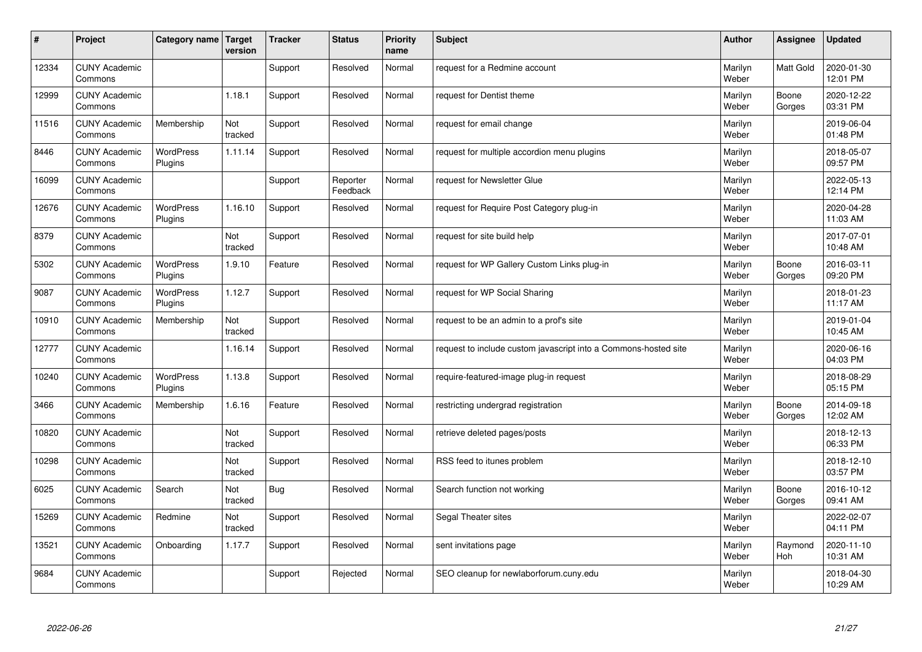| #     | Project                         | Category name   Target      | version        | <b>Tracker</b> | <b>Status</b>        | <b>Priority</b><br>name | <b>Subject</b>                                                  | <b>Author</b>    | Assignee         | <b>Updated</b>         |
|-------|---------------------------------|-----------------------------|----------------|----------------|----------------------|-------------------------|-----------------------------------------------------------------|------------------|------------------|------------------------|
| 12334 | <b>CUNY Academic</b><br>Commons |                             |                | Support        | Resolved             | Normal                  | request for a Redmine account                                   | Marilyn<br>Weber | <b>Matt Gold</b> | 2020-01-30<br>12:01 PM |
| 12999 | <b>CUNY Academic</b><br>Commons |                             | 1.18.1         | Support        | Resolved             | Normal                  | request for Dentist theme                                       | Marilyn<br>Weber | Boone<br>Gorges  | 2020-12-22<br>03:31 PM |
| 11516 | <b>CUNY Academic</b><br>Commons | Membership                  | Not<br>tracked | Support        | Resolved             | Normal                  | request for email change                                        | Marilyn<br>Weber |                  | 2019-06-04<br>01:48 PM |
| 8446  | <b>CUNY Academic</b><br>Commons | <b>WordPress</b><br>Plugins | 1.11.14        | Support        | Resolved             | Normal                  | request for multiple accordion menu plugins                     | Marilyn<br>Weber |                  | 2018-05-07<br>09:57 PM |
| 16099 | <b>CUNY Academic</b><br>Commons |                             |                | Support        | Reporter<br>Feedback | Normal                  | request for Newsletter Glue                                     | Marilyn<br>Weber |                  | 2022-05-13<br>12:14 PM |
| 12676 | <b>CUNY Academic</b><br>Commons | <b>WordPress</b><br>Plugins | 1.16.10        | Support        | Resolved             | Normal                  | request for Require Post Category plug-in                       | Marilyn<br>Weber |                  | 2020-04-28<br>11:03 AM |
| 8379  | <b>CUNY Academic</b><br>Commons |                             | Not<br>tracked | Support        | Resolved             | Normal                  | request for site build help                                     | Marilyn<br>Weber |                  | 2017-07-01<br>10:48 AM |
| 5302  | <b>CUNY Academic</b><br>Commons | WordPress<br>Plugins        | 1.9.10         | Feature        | Resolved             | Normal                  | request for WP Gallery Custom Links plug-in                     | Marilyn<br>Weber | Boone<br>Gorges  | 2016-03-11<br>09:20 PM |
| 9087  | <b>CUNY Academic</b><br>Commons | <b>WordPress</b><br>Plugins | 1.12.7         | Support        | Resolved             | Normal                  | request for WP Social Sharing                                   | Marilyn<br>Weber |                  | 2018-01-23<br>11:17 AM |
| 10910 | <b>CUNY Academic</b><br>Commons | Membership                  | Not<br>tracked | Support        | Resolved             | Normal                  | request to be an admin to a prof's site                         | Marilyn<br>Weber |                  | 2019-01-04<br>10:45 AM |
| 12777 | <b>CUNY Academic</b><br>Commons |                             | 1.16.14        | Support        | Resolved             | Normal                  | request to include custom javascript into a Commons-hosted site | Marilyn<br>Weber |                  | 2020-06-16<br>04:03 PM |
| 10240 | <b>CUNY Academic</b><br>Commons | <b>WordPress</b><br>Plugins | 1.13.8         | Support        | Resolved             | Normal                  | require-featured-image plug-in request                          | Marilyn<br>Weber |                  | 2018-08-29<br>05:15 PM |
| 3466  | <b>CUNY Academic</b><br>Commons | Membership                  | 1.6.16         | Feature        | Resolved             | Normal                  | restricting undergrad registration                              | Marilyn<br>Weber | Boone<br>Gorges  | 2014-09-18<br>12:02 AM |
| 10820 | <b>CUNY Academic</b><br>Commons |                             | Not<br>tracked | Support        | Resolved             | Normal                  | retrieve deleted pages/posts                                    | Marilyn<br>Weber |                  | 2018-12-13<br>06:33 PM |
| 10298 | <b>CUNY Academic</b><br>Commons |                             | Not<br>tracked | Support        | Resolved             | Normal                  | RSS feed to itunes problem                                      | Marilyn<br>Weber |                  | 2018-12-10<br>03:57 PM |
| 6025  | <b>CUNY Academic</b><br>Commons | Search                      | Not<br>tracked | Bug            | Resolved             | Normal                  | Search function not working                                     | Marilyn<br>Weber | Boone<br>Gorges  | 2016-10-12<br>09:41 AM |
| 15269 | <b>CUNY Academic</b><br>Commons | Redmine                     | Not<br>tracked | Support        | Resolved             | Normal                  | Segal Theater sites                                             | Marilyn<br>Weber |                  | 2022-02-07<br>04:11 PM |
| 13521 | <b>CUNY Academic</b><br>Commons | Onboarding                  | 1.17.7         | Support        | Resolved             | Normal                  | sent invitations page                                           | Marilyn<br>Weber | Raymond<br>Hoh   | 2020-11-10<br>10:31 AM |
| 9684  | <b>CUNY Academic</b><br>Commons |                             |                | Support        | Rejected             | Normal                  | SEO cleanup for newlaborforum.cuny.edu                          | Marilyn<br>Weber |                  | 2018-04-30<br>10:29 AM |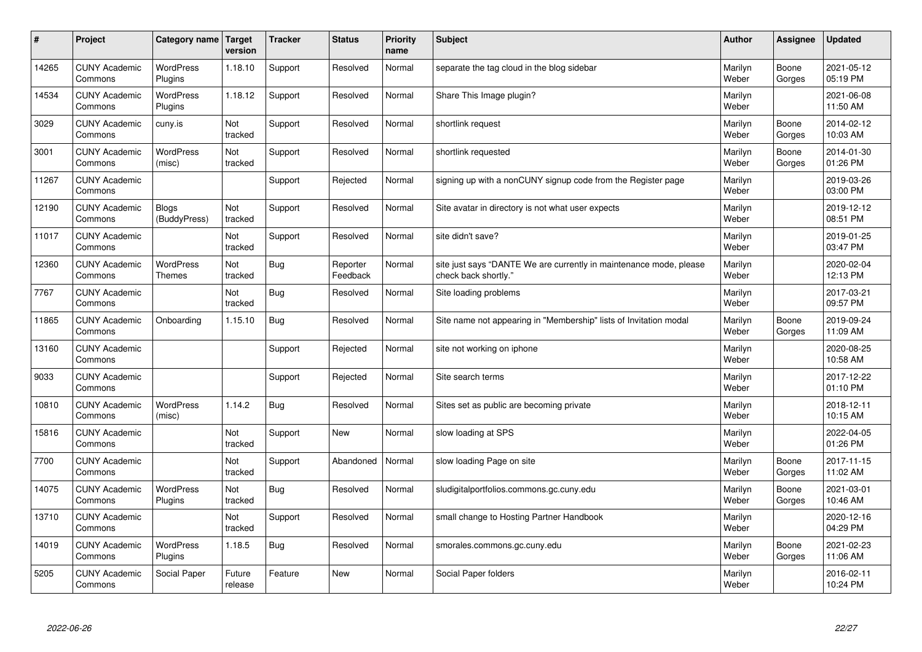| #     | Project                         | Category name                     | Target<br>version | <b>Tracker</b> | <b>Status</b>        | <b>Priority</b><br>name | <b>Subject</b>                                                                             | <b>Author</b>    | Assignee        | Updated                |
|-------|---------------------------------|-----------------------------------|-------------------|----------------|----------------------|-------------------------|--------------------------------------------------------------------------------------------|------------------|-----------------|------------------------|
| 14265 | <b>CUNY Academic</b><br>Commons | <b>WordPress</b><br>Plugins       | 1.18.10           | Support        | Resolved             | Normal                  | separate the tag cloud in the blog sidebar                                                 | Marilyn<br>Weber | Boone<br>Gorges | 2021-05-12<br>05:19 PM |
| 14534 | <b>CUNY Academic</b><br>Commons | <b>WordPress</b><br>Plugins       | 1.18.12           | Support        | Resolved             | Normal                  | Share This Image plugin?                                                                   | Marilyn<br>Weber |                 | 2021-06-08<br>11:50 AM |
| 3029  | <b>CUNY Academic</b><br>Commons | cuny.is                           | Not<br>tracked    | Support        | Resolved             | Normal                  | shortlink request                                                                          | Marilyn<br>Weber | Boone<br>Gorges | 2014-02-12<br>10:03 AM |
| 3001  | <b>CUNY Academic</b><br>Commons | <b>WordPress</b><br>(misc)        | Not<br>tracked    | Support        | Resolved             | Normal                  | shortlink requested                                                                        | Marilyn<br>Weber | Boone<br>Gorges | 2014-01-30<br>01:26 PM |
| 11267 | <b>CUNY Academic</b><br>Commons |                                   |                   | Support        | Rejected             | Normal                  | signing up with a nonCUNY signup code from the Register page                               | Marilyn<br>Weber |                 | 2019-03-26<br>03:00 PM |
| 12190 | <b>CUNY Academic</b><br>Commons | Blogs<br>(BuddyPress)             | Not<br>tracked    | Support        | Resolved             | Normal                  | Site avatar in directory is not what user expects                                          | Marilyn<br>Weber |                 | 2019-12-12<br>08:51 PM |
| 11017 | <b>CUNY Academic</b><br>Commons |                                   | Not<br>tracked    | Support        | Resolved             | Normal                  | site didn't save?                                                                          | Marilyn<br>Weber |                 | 2019-01-25<br>03:47 PM |
| 12360 | <b>CUNY Academic</b><br>Commons | <b>WordPress</b><br><b>Themes</b> | Not<br>tracked    | Bug            | Reporter<br>Feedback | Normal                  | site just says "DANTE We are currently in maintenance mode, please<br>check back shortly." | Marilyn<br>Weber |                 | 2020-02-04<br>12:13 PM |
| 7767  | <b>CUNY Academic</b><br>Commons |                                   | Not<br>tracked    | Bug            | Resolved             | Normal                  | Site loading problems                                                                      | Marilyn<br>Weber |                 | 2017-03-21<br>09:57 PM |
| 11865 | <b>CUNY Academic</b><br>Commons | Onboarding                        | 1.15.10           | <b>Bug</b>     | Resolved             | Normal                  | Site name not appearing in "Membership" lists of Invitation modal                          | Marilyn<br>Weber | Boone<br>Gorges | 2019-09-24<br>11:09 AM |
| 13160 | <b>CUNY Academic</b><br>Commons |                                   |                   | Support        | Rejected             | Normal                  | site not working on iphone                                                                 | Marilyn<br>Weber |                 | 2020-08-25<br>10:58 AM |
| 9033  | <b>CUNY Academic</b><br>Commons |                                   |                   | Support        | Rejected             | Normal                  | Site search terms                                                                          | Marilyn<br>Weber |                 | 2017-12-22<br>01:10 PM |
| 10810 | <b>CUNY Academic</b><br>Commons | <b>WordPress</b><br>(misc)        | 1.14.2            | Bug            | Resolved             | Normal                  | Sites set as public are becoming private                                                   | Marilyn<br>Weber |                 | 2018-12-11<br>10:15 AM |
| 15816 | <b>CUNY Academic</b><br>Commons |                                   | Not<br>tracked    | Support        | <b>New</b>           | Normal                  | slow loading at SPS                                                                        | Marilyn<br>Weber |                 | 2022-04-05<br>01:26 PM |
| 7700  | <b>CUNY Academic</b><br>Commons |                                   | Not<br>tracked    | Support        | Abandoned            | Normal                  | slow loading Page on site                                                                  | Marilyn<br>Weber | Boone<br>Gorges | 2017-11-15<br>11:02 AM |
| 14075 | <b>CUNY Academic</b><br>Commons | <b>WordPress</b><br>Plugins       | Not<br>tracked    | Bug            | Resolved             | Normal                  | sludigitalportfolios.commons.gc.cuny.edu                                                   | Marilyn<br>Weber | Boone<br>Gorges | 2021-03-01<br>10:46 AM |
| 13710 | <b>CUNY Academic</b><br>Commons |                                   | Not<br>tracked    | Support        | Resolved             | Normal                  | small change to Hosting Partner Handbook                                                   | Marilyn<br>Weber |                 | 2020-12-16<br>04:29 PM |
| 14019 | <b>CUNY Academic</b><br>Commons | <b>WordPress</b><br>Plugins       | 1.18.5            | <b>Bug</b>     | Resolved             | Normal                  | smorales.commons.gc.cuny.edu                                                               | Marilyn<br>Weber | Boone<br>Gorges | 2021-02-23<br>11:06 AM |
| 5205  | <b>CUNY Academic</b><br>Commons | Social Paper                      | Future<br>release | Feature        | <b>New</b>           | Normal                  | Social Paper folders                                                                       | Marilyn<br>Weber |                 | 2016-02-11<br>10:24 PM |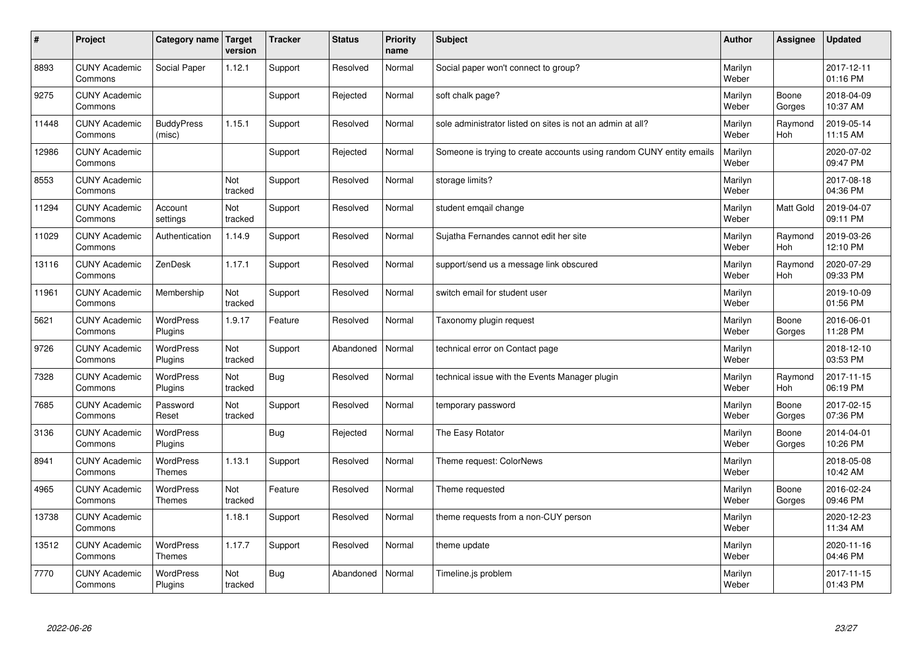| $\#$  | Project                         | <b>Category name</b>              | Target<br>version | <b>Tracker</b> | <b>Status</b> | <b>Priority</b><br>name | <b>Subject</b>                                                       | <b>Author</b>    | <b>Assignee</b> | <b>Updated</b>         |
|-------|---------------------------------|-----------------------------------|-------------------|----------------|---------------|-------------------------|----------------------------------------------------------------------|------------------|-----------------|------------------------|
| 8893  | <b>CUNY Academic</b><br>Commons | Social Paper                      | 1.12.1            | Support        | Resolved      | Normal                  | Social paper won't connect to group?                                 | Marilyn<br>Weber |                 | 2017-12-11<br>01:16 PM |
| 9275  | <b>CUNY Academic</b><br>Commons |                                   |                   | Support        | Rejected      | Normal                  | soft chalk page?                                                     | Marilyn<br>Weber | Boone<br>Gorges | 2018-04-09<br>10:37 AM |
| 11448 | <b>CUNY Academic</b><br>Commons | <b>BuddyPress</b><br>(misc)       | 1.15.1            | Support        | Resolved      | Normal                  | sole administrator listed on sites is not an admin at all?           | Marilyn<br>Weber | Raymond<br>Hoh  | 2019-05-14<br>11:15 AM |
| 12986 | <b>CUNY Academic</b><br>Commons |                                   |                   | Support        | Rejected      | Normal                  | Someone is trying to create accounts using random CUNY entity emails | Marilyn<br>Weber |                 | 2020-07-02<br>09:47 PM |
| 8553  | <b>CUNY Academic</b><br>Commons |                                   | Not<br>tracked    | Support        | Resolved      | Normal                  | storage limits?                                                      | Marilyn<br>Weber |                 | 2017-08-18<br>04:36 PM |
| 11294 | <b>CUNY Academic</b><br>Commons | Account<br>settings               | Not<br>tracked    | Support        | Resolved      | Normal                  | student emgail change                                                | Marilyn<br>Weber | Matt Gold       | 2019-04-07<br>09:11 PM |
| 11029 | <b>CUNY Academic</b><br>Commons | Authentication                    | 1.14.9            | Support        | Resolved      | Normal                  | Sujatha Fernandes cannot edit her site                               | Marilyn<br>Weber | Raymond<br>Hoh  | 2019-03-26<br>12:10 PM |
| 13116 | <b>CUNY Academic</b><br>Commons | ZenDesk                           | 1.17.1            | Support        | Resolved      | Normal                  | support/send us a message link obscured                              | Marilyn<br>Weber | Raymond<br>Hoh  | 2020-07-29<br>09:33 PM |
| 11961 | <b>CUNY Academic</b><br>Commons | Membership                        | Not<br>tracked    | Support        | Resolved      | Normal                  | switch email for student user                                        | Marilyn<br>Weber |                 | 2019-10-09<br>01:56 PM |
| 5621  | <b>CUNY Academic</b><br>Commons | WordPress<br>Plugins              | 1.9.17            | Feature        | Resolved      | Normal                  | Taxonomy plugin request                                              | Marilyn<br>Weber | Boone<br>Gorges | 2016-06-01<br>11:28 PM |
| 9726  | <b>CUNY Academic</b><br>Commons | <b>WordPress</b><br>Plugins       | Not<br>tracked    | Support        | Abandoned     | Normal                  | technical error on Contact page                                      | Marilyn<br>Weber |                 | 2018-12-10<br>03:53 PM |
| 7328  | <b>CUNY Academic</b><br>Commons | <b>WordPress</b><br>Plugins       | Not<br>tracked    | <b>Bug</b>     | Resolved      | Normal                  | technical issue with the Events Manager plugin                       | Marilyn<br>Weber | Raymond<br>Hoh  | 2017-11-15<br>06:19 PM |
| 7685  | <b>CUNY Academic</b><br>Commons | Password<br>Reset                 | Not<br>tracked    | Support        | Resolved      | Normal                  | temporary password                                                   | Marilyn<br>Weber | Boone<br>Gorges | 2017-02-15<br>07:36 PM |
| 3136  | <b>CUNY Academic</b><br>Commons | <b>WordPress</b><br>Plugins       |                   | <b>Bug</b>     | Rejected      | Normal                  | The Easy Rotator                                                     | Marilyn<br>Weber | Boone<br>Gorges | 2014-04-01<br>10:26 PM |
| 8941  | <b>CUNY Academic</b><br>Commons | <b>WordPress</b><br><b>Themes</b> | 1.13.1            | Support        | Resolved      | Normal                  | Theme request: ColorNews                                             | Marilyn<br>Weber |                 | 2018-05-08<br>10:42 AM |
| 4965  | <b>CUNY Academic</b><br>Commons | WordPress<br><b>Themes</b>        | Not<br>tracked    | Feature        | Resolved      | Normal                  | Theme requested                                                      | Marilyn<br>Weber | Boone<br>Gorges | 2016-02-24<br>09:46 PM |
| 13738 | <b>CUNY Academic</b><br>Commons |                                   | 1.18.1            | Support        | Resolved      | Normal                  | theme requests from a non-CUY person                                 | Marilyn<br>Weber |                 | 2020-12-23<br>11:34 AM |
| 13512 | <b>CUNY Academic</b><br>Commons | WordPress<br><b>Themes</b>        | 1.17.7            | Support        | Resolved      | Normal                  | theme update                                                         | Marilyn<br>Weber |                 | 2020-11-16<br>04:46 PM |
| 7770  | <b>CUNY Academic</b><br>Commons | <b>WordPress</b><br>Plugins       | Not<br>tracked    | <b>Bug</b>     | Abandoned     | Normal                  | Timeline.js problem                                                  | Marilyn<br>Weber |                 | 2017-11-15<br>01:43 PM |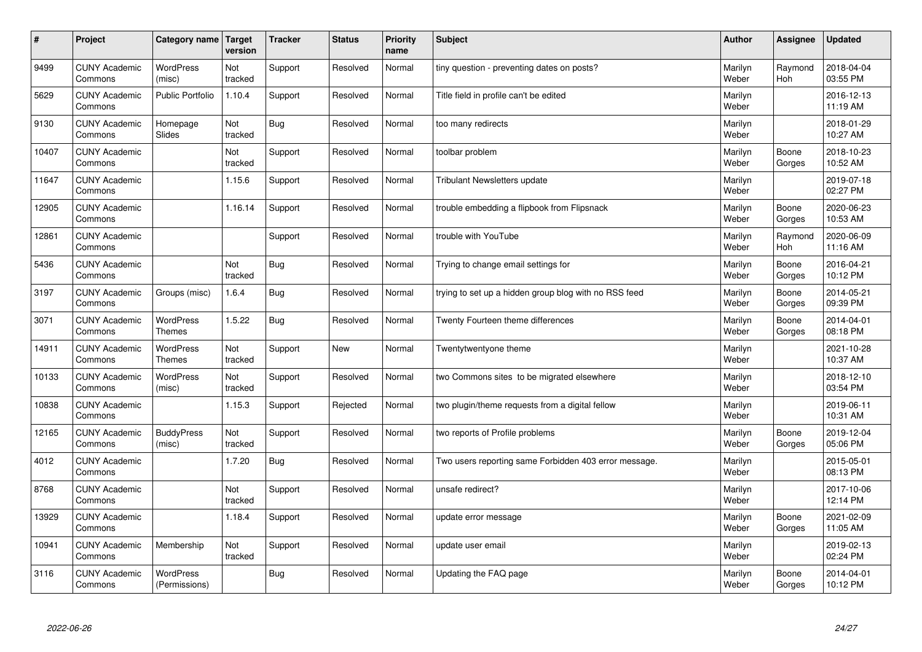| #     | Project                         | Category name   Target            | version        | <b>Tracker</b> | <b>Status</b> | <b>Priority</b><br>name | <b>Subject</b>                                        | <b>Author</b>    | <b>Assignee</b>       | <b>Updated</b>         |
|-------|---------------------------------|-----------------------------------|----------------|----------------|---------------|-------------------------|-------------------------------------------------------|------------------|-----------------------|------------------------|
| 9499  | <b>CUNY Academic</b><br>Commons | <b>WordPress</b><br>(misc)        | Not<br>tracked | Support        | Resolved      | Normal                  | tiny question - preventing dates on posts?            | Marilyn<br>Weber | Raymond<br><b>Hoh</b> | 2018-04-04<br>03:55 PM |
| 5629  | <b>CUNY Academic</b><br>Commons | <b>Public Portfolio</b>           | 1.10.4         | Support        | Resolved      | Normal                  | Title field in profile can't be edited                | Marilyn<br>Weber |                       | 2016-12-13<br>11:19 AM |
| 9130  | <b>CUNY Academic</b><br>Commons | Homepage<br><b>Slides</b>         | Not<br>tracked | <b>Bug</b>     | Resolved      | Normal                  | too many redirects                                    | Marilyn<br>Weber |                       | 2018-01-29<br>10:27 AM |
| 10407 | <b>CUNY Academic</b><br>Commons |                                   | Not<br>tracked | Support        | Resolved      | Normal                  | toolbar problem                                       | Marilyn<br>Weber | Boone<br>Gorges       | 2018-10-23<br>10:52 AM |
| 11647 | <b>CUNY Academic</b><br>Commons |                                   | 1.15.6         | Support        | Resolved      | Normal                  | <b>Tribulant Newsletters update</b>                   | Marilyn<br>Weber |                       | 2019-07-18<br>02:27 PM |
| 12905 | <b>CUNY Academic</b><br>Commons |                                   | 1.16.14        | Support        | Resolved      | Normal                  | trouble embedding a flipbook from Flipsnack           | Marilyn<br>Weber | Boone<br>Gorges       | 2020-06-23<br>10:53 AM |
| 12861 | <b>CUNY Academic</b><br>Commons |                                   |                | Support        | Resolved      | Normal                  | trouble with YouTube                                  | Marilyn<br>Weber | Raymond<br>Hoh        | 2020-06-09<br>11:16 AM |
| 5436  | <b>CUNY Academic</b><br>Commons |                                   | Not<br>tracked | Bug            | Resolved      | Normal                  | Trying to change email settings for                   | Marilyn<br>Weber | Boone<br>Gorges       | 2016-04-21<br>10:12 PM |
| 3197  | <b>CUNY Academic</b><br>Commons | Groups (misc)                     | 1.6.4          | Bug            | Resolved      | Normal                  | trying to set up a hidden group blog with no RSS feed | Marilyn<br>Weber | Boone<br>Gorges       | 2014-05-21<br>09:39 PM |
| 3071  | <b>CUNY Academic</b><br>Commons | <b>WordPress</b><br><b>Themes</b> | 1.5.22         | Bug            | Resolved      | Normal                  | Twenty Fourteen theme differences                     | Marilyn<br>Weber | Boone<br>Gorges       | 2014-04-01<br>08:18 PM |
| 14911 | <b>CUNY Academic</b><br>Commons | <b>WordPress</b><br><b>Themes</b> | Not<br>tracked | Support        | <b>New</b>    | Normal                  | Twentytwentyone theme                                 | Marilyn<br>Weber |                       | 2021-10-28<br>10:37 AM |
| 10133 | <b>CUNY Academic</b><br>Commons | <b>WordPress</b><br>(misc)        | Not<br>tracked | Support        | Resolved      | Normal                  | two Commons sites to be migrated elsewhere            | Marilyn<br>Weber |                       | 2018-12-10<br>03:54 PM |
| 10838 | <b>CUNY Academic</b><br>Commons |                                   | 1.15.3         | Support        | Rejected      | Normal                  | two plugin/theme requests from a digital fellow       | Marilyn<br>Weber |                       | 2019-06-11<br>10:31 AM |
| 12165 | <b>CUNY Academic</b><br>Commons | <b>BuddyPress</b><br>(misc)       | Not<br>tracked | Support        | Resolved      | Normal                  | two reports of Profile problems                       | Marilyn<br>Weber | Boone<br>Gorges       | 2019-12-04<br>05:06 PM |
| 4012  | <b>CUNY Academic</b><br>Commons |                                   | 1.7.20         | Bug            | Resolved      | Normal                  | Two users reporting same Forbidden 403 error message. | Marilyn<br>Weber |                       | 2015-05-01<br>08:13 PM |
| 8768  | <b>CUNY Academic</b><br>Commons |                                   | Not<br>tracked | Support        | Resolved      | Normal                  | unsafe redirect?                                      | Marilyn<br>Weber |                       | 2017-10-06<br>12:14 PM |
| 13929 | <b>CUNY Academic</b><br>Commons |                                   | 1.18.4         | Support        | Resolved      | Normal                  | update error message                                  | Marilyn<br>Weber | Boone<br>Gorges       | 2021-02-09<br>11:05 AM |
| 10941 | <b>CUNY Academic</b><br>Commons | Membership                        | Not<br>tracked | Support        | Resolved      | Normal                  | update user email                                     | Marilyn<br>Weber |                       | 2019-02-13<br>02:24 PM |
| 3116  | <b>CUNY Academic</b><br>Commons | <b>WordPress</b><br>(Permissions) |                | <b>Bug</b>     | Resolved      | Normal                  | Updating the FAQ page                                 | Marilyn<br>Weber | Boone<br>Gorges       | 2014-04-01<br>10:12 PM |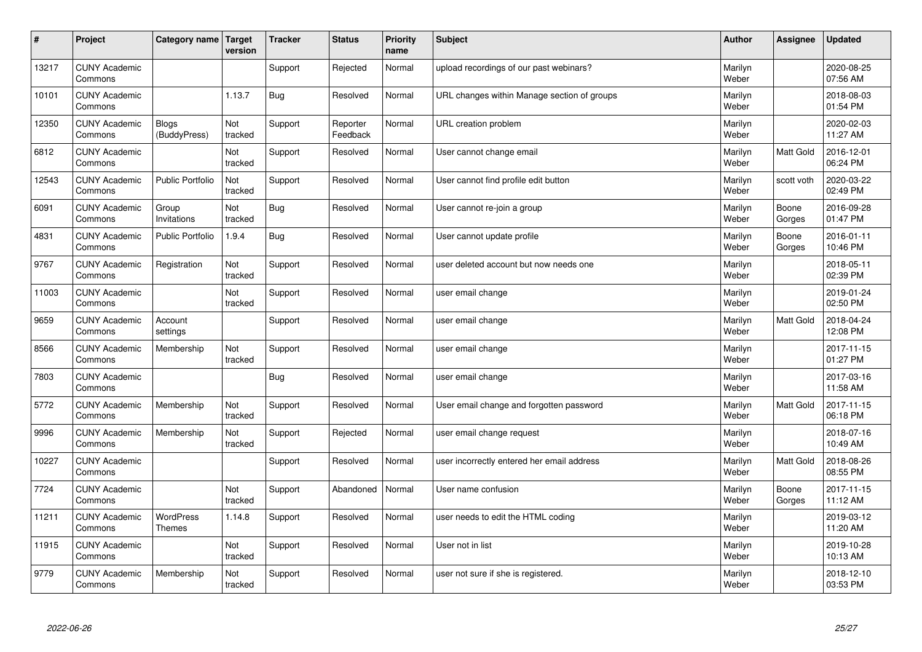| #     | Project                         | Category name                | Target<br>version | <b>Tracker</b> | <b>Status</b>        | <b>Priority</b><br>name | <b>Subject</b>                              | <b>Author</b>    | Assignee         | Updated                |
|-------|---------------------------------|------------------------------|-------------------|----------------|----------------------|-------------------------|---------------------------------------------|------------------|------------------|------------------------|
| 13217 | <b>CUNY Academic</b><br>Commons |                              |                   | Support        | Rejected             | Normal                  | upload recordings of our past webinars?     | Marilyn<br>Weber |                  | 2020-08-25<br>07:56 AM |
| 10101 | <b>CUNY Academic</b><br>Commons |                              | 1.13.7            | Bug            | Resolved             | Normal                  | URL changes within Manage section of groups | Marilyn<br>Weber |                  | 2018-08-03<br>01:54 PM |
| 12350 | <b>CUNY Academic</b><br>Commons | <b>Blogs</b><br>(BuddyPress) | Not<br>tracked    | Support        | Reporter<br>Feedback | Normal                  | URL creation problem                        | Marilyn<br>Weber |                  | 2020-02-03<br>11:27 AM |
| 6812  | <b>CUNY Academic</b><br>Commons |                              | Not<br>tracked    | Support        | Resolved             | Normal                  | User cannot change email                    | Marilyn<br>Weber | Matt Gold        | 2016-12-01<br>06:24 PM |
| 12543 | <b>CUNY Academic</b><br>Commons | <b>Public Portfolio</b>      | Not<br>tracked    | Support        | Resolved             | Normal                  | User cannot find profile edit button        | Marilyn<br>Weber | scott voth       | 2020-03-22<br>02:49 PM |
| 6091  | <b>CUNY Academic</b><br>Commons | Group<br>Invitations         | Not<br>tracked    | Bug            | Resolved             | Normal                  | User cannot re-join a group                 | Marilyn<br>Weber | Boone<br>Gorges  | 2016-09-28<br>01:47 PM |
| 4831  | <b>CUNY Academic</b><br>Commons | <b>Public Portfolio</b>      | 1.9.4             | Bug            | Resolved             | Normal                  | User cannot update profile                  | Marilyn<br>Weber | Boone<br>Gorges  | 2016-01-11<br>10:46 PM |
| 9767  | <b>CUNY Academic</b><br>Commons | Registration                 | Not<br>tracked    | Support        | Resolved             | Normal                  | user deleted account but now needs one      | Marilyn<br>Weber |                  | 2018-05-11<br>02:39 PM |
| 11003 | <b>CUNY Academic</b><br>Commons |                              | Not<br>tracked    | Support        | Resolved             | Normal                  | user email change                           | Marilyn<br>Weber |                  | 2019-01-24<br>02:50 PM |
| 9659  | <b>CUNY Academic</b><br>Commons | Account<br>settings          |                   | Support        | Resolved             | Normal                  | user email change                           | Marilyn<br>Weber | <b>Matt Gold</b> | 2018-04-24<br>12:08 PM |
| 8566  | <b>CUNY Academic</b><br>Commons | Membership                   | Not<br>tracked    | Support        | Resolved             | Normal                  | user email change                           | Marilyn<br>Weber |                  | 2017-11-15<br>01:27 PM |
| 7803  | <b>CUNY Academic</b><br>Commons |                              |                   | Bug            | Resolved             | Normal                  | user email change                           | Marilyn<br>Weber |                  | 2017-03-16<br>11:58 AM |
| 5772  | <b>CUNY Academic</b><br>Commons | Membership                   | Not<br>tracked    | Support        | Resolved             | Normal                  | User email change and forgotten password    | Marilyn<br>Weber | <b>Matt Gold</b> | 2017-11-15<br>06:18 PM |
| 9996  | <b>CUNY Academic</b><br>Commons | Membership                   | Not<br>tracked    | Support        | Rejected             | Normal                  | user email change request                   | Marilyn<br>Weber |                  | 2018-07-16<br>10:49 AM |
| 10227 | <b>CUNY Academic</b><br>Commons |                              |                   | Support        | Resolved             | Normal                  | user incorrectly entered her email address  | Marilyn<br>Weber | Matt Gold        | 2018-08-26<br>08:55 PM |
| 7724  | <b>CUNY Academic</b><br>Commons |                              | Not<br>tracked    | Support        | Abandoned            | Normal                  | User name confusion                         | Marilyn<br>Weber | Boone<br>Gorges  | 2017-11-15<br>11:12 AM |
| 11211 | <b>CUNY Academic</b><br>Commons | WordPress<br><b>Themes</b>   | 1.14.8            | Support        | Resolved             | Normal                  | user needs to edit the HTML coding          | Marilyn<br>Weber |                  | 2019-03-12<br>11:20 AM |
| 11915 | <b>CUNY Academic</b><br>Commons |                              | Not<br>tracked    | Support        | Resolved             | Normal                  | User not in list                            | Marilyn<br>Weber |                  | 2019-10-28<br>10:13 AM |
| 9779  | <b>CUNY Academic</b><br>Commons | Membership                   | Not<br>tracked    | Support        | Resolved             | Normal                  | user not sure if she is registered.         | Marilyn<br>Weber |                  | 2018-12-10<br>03:53 PM |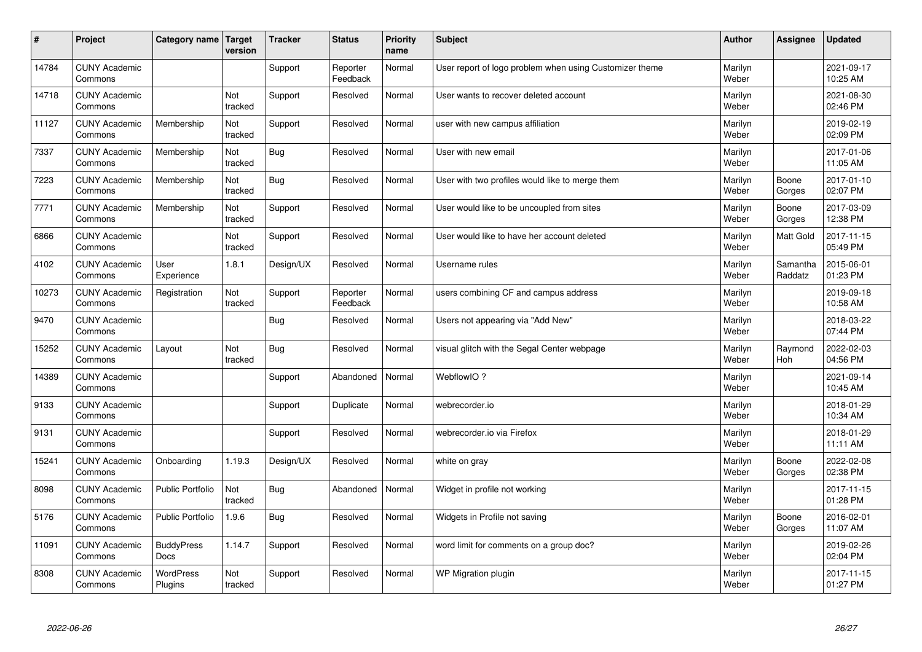| $\sharp$ | Project                         | <b>Category name</b>        | Target<br>version | <b>Tracker</b> | <b>Status</b>        | <b>Priority</b><br>name | <b>Subject</b>                                          | <b>Author</b>    | Assignee            | Updated                |
|----------|---------------------------------|-----------------------------|-------------------|----------------|----------------------|-------------------------|---------------------------------------------------------|------------------|---------------------|------------------------|
| 14784    | <b>CUNY Academic</b><br>Commons |                             |                   | Support        | Reporter<br>Feedback | Normal                  | User report of logo problem when using Customizer theme | Marilyn<br>Weber |                     | 2021-09-17<br>10:25 AM |
| 14718    | <b>CUNY Academic</b><br>Commons |                             | Not<br>tracked    | Support        | Resolved             | Normal                  | User wants to recover deleted account                   | Marilyn<br>Weber |                     | 2021-08-30<br>02:46 PM |
| 11127    | <b>CUNY Academic</b><br>Commons | Membership                  | Not<br>tracked    | Support        | Resolved             | Normal                  | user with new campus affiliation                        | Marilyn<br>Weber |                     | 2019-02-19<br>02:09 PM |
| 7337     | <b>CUNY Academic</b><br>Commons | Membership                  | Not<br>tracked    | <b>Bug</b>     | Resolved             | Normal                  | User with new email                                     | Marilyn<br>Weber |                     | 2017-01-06<br>11:05 AM |
| 7223     | <b>CUNY Academic</b><br>Commons | Membership                  | Not<br>tracked    | <b>Bug</b>     | Resolved             | Normal                  | User with two profiles would like to merge them         | Marilyn<br>Weber | Boone<br>Gorges     | 2017-01-10<br>02:07 PM |
| 7771     | <b>CUNY Academic</b><br>Commons | Membership                  | Not<br>tracked    | Support        | Resolved             | Normal                  | User would like to be uncoupled from sites              | Marilyn<br>Weber | Boone<br>Gorges     | 2017-03-09<br>12:38 PM |
| 6866     | <b>CUNY Academic</b><br>Commons |                             | Not<br>tracked    | Support        | Resolved             | Normal                  | User would like to have her account deleted             | Marilyn<br>Weber | <b>Matt Gold</b>    | 2017-11-15<br>05:49 PM |
| 4102     | <b>CUNY Academic</b><br>Commons | User<br>Experience          | 1.8.1             | Design/UX      | Resolved             | Normal                  | Username rules                                          | Marilyn<br>Weber | Samantha<br>Raddatz | 2015-06-01<br>01:23 PM |
| 10273    | <b>CUNY Academic</b><br>Commons | Registration                | Not<br>tracked    | Support        | Reporter<br>Feedback | Normal                  | users combining CF and campus address                   | Marilyn<br>Weber |                     | 2019-09-18<br>10:58 AM |
| 9470     | <b>CUNY Academic</b><br>Commons |                             |                   | Bug            | Resolved             | Normal                  | Users not appearing via "Add New"                       | Marilyn<br>Weber |                     | 2018-03-22<br>07:44 PM |
| 15252    | <b>CUNY Academic</b><br>Commons | Layout                      | Not<br>tracked    | Bug            | Resolved             | Normal                  | visual glitch with the Segal Center webpage             | Marilyn<br>Weber | Raymond<br>Hoh      | 2022-02-03<br>04:56 PM |
| 14389    | <b>CUNY Academic</b><br>Commons |                             |                   | Support        | Abandoned            | Normal                  | WebflowIO?                                              | Marilyn<br>Weber |                     | 2021-09-14<br>10:45 AM |
| 9133     | <b>CUNY Academic</b><br>Commons |                             |                   | Support        | Duplicate            | Normal                  | webrecorder.io                                          | Marilyn<br>Weber |                     | 2018-01-29<br>10:34 AM |
| 9131     | <b>CUNY Academic</b><br>Commons |                             |                   | Support        | Resolved             | Normal                  | webrecorder.io via Firefox                              | Marilyn<br>Weber |                     | 2018-01-29<br>11:11 AM |
| 15241    | <b>CUNY Academic</b><br>Commons | Onboarding                  | 1.19.3            | Design/UX      | Resolved             | Normal                  | white on gray                                           | Marilyn<br>Weber | Boone<br>Gorges     | 2022-02-08<br>02:38 PM |
| 8098     | <b>CUNY Academic</b><br>Commons | <b>Public Portfolio</b>     | Not<br>tracked    | Bug            | Abandoned            | Normal                  | Widget in profile not working                           | Marilyn<br>Weber |                     | 2017-11-15<br>01:28 PM |
| 5176     | <b>CUNY Academic</b><br>Commons | <b>Public Portfolio</b>     | 1.9.6             | Bug            | Resolved             | Normal                  | Widgets in Profile not saving                           | Marilyn<br>Weber | Boone<br>Gorges     | 2016-02-01<br>11:07 AM |
| 11091    | <b>CUNY Academic</b><br>Commons | <b>BuddyPress</b><br>Docs   | 1.14.7            | Support        | Resolved             | Normal                  | word limit for comments on a group doc?                 | Marilyn<br>Weber |                     | 2019-02-26<br>02:04 PM |
| 8308     | <b>CUNY Academic</b><br>Commons | <b>WordPress</b><br>Plugins | Not<br>tracked    | Support        | Resolved             | Normal                  | WP Migration plugin                                     | Marilyn<br>Weber |                     | 2017-11-15<br>01:27 PM |